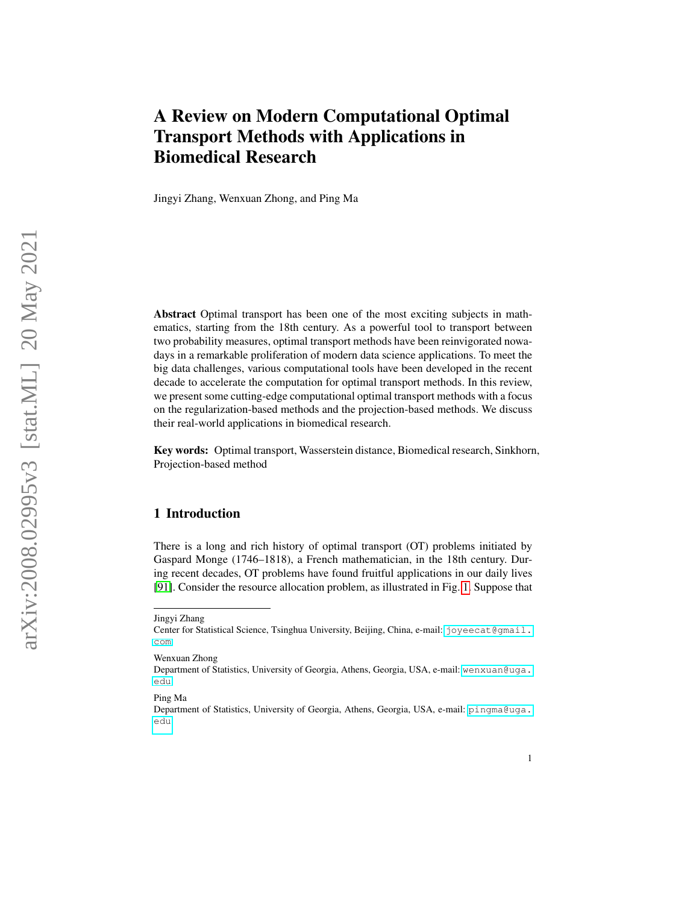# <span id="page-0-0"></span>A Review on Modern Computational Optimal Transport Methods with Applications in Biomedical Research

Jingyi Zhang, Wenxuan Zhong, and Ping Ma

Abstract Optimal transport has been one of the most exciting subjects in mathematics, starting from the 18th century. As a powerful tool to transport between two probability measures, optimal transport methods have been reinvigorated nowadays in a remarkable proliferation of modern data science applications. To meet the big data challenges, various computational tools have been developed in the recent decade to accelerate the computation for optimal transport methods. In this review, we present some cutting-edge computational optimal transport methods with a focus on the regularization-based methods and the projection-based methods. We discuss their real-world applications in biomedical research.

Key words: Optimal transport, Wasserstein distance, Biomedical research, Sinkhorn, Projection-based method

#### 1 Introduction

There is a long and rich history of optimal transport (OT) problems initiated by Gaspard Monge (1746–1818), a French mathematician, in the 18th century. During recent decades, OT problems have found fruitful applications in our daily lives [\[91\]](#page-21-0). Consider the resource allocation problem, as illustrated in Fig. [1.](#page-1-0) Suppose that

Jingyi Zhang

Center for Statistical Science, Tsinghua University, Beijing, China, e-mail: [joyeecat@gmail.](joyeecat@gmail.com) [com](joyeecat@gmail.com)

Wenxuan Zhong

Department of Statistics, University of Georgia, Athens, Georgia, USA, e-mail: [wenxuan@uga.](wenxuan@uga.edu) [edu](wenxuan@uga.edu)

Ping Ma

Department of Statistics, University of Georgia, Athens, Georgia, USA, e-mail: [pingma@uga.](pingma@uga.edu) [edu](pingma@uga.edu)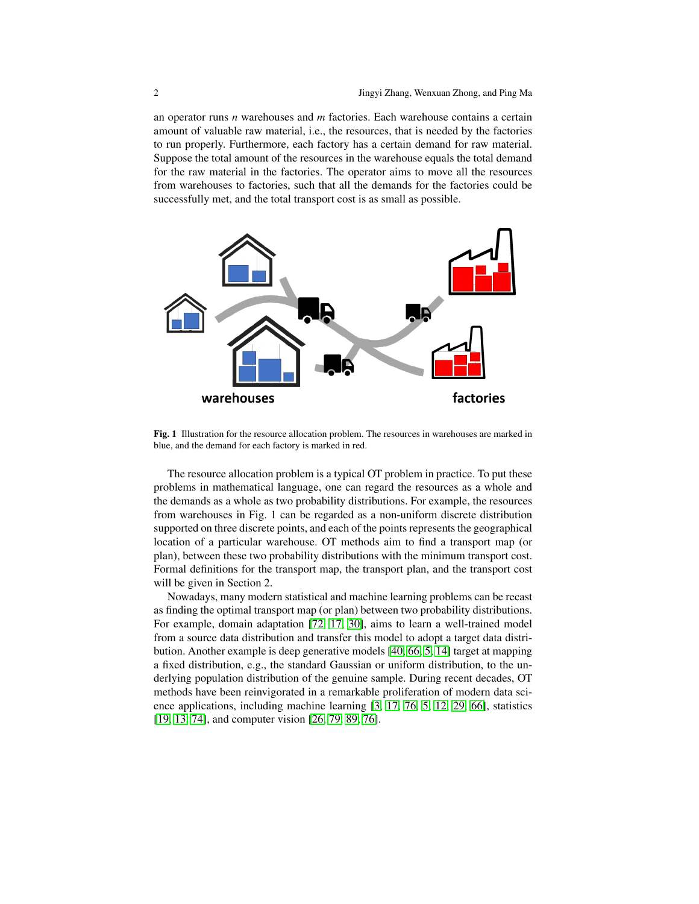an operator runs *n* warehouses and *m* factories. Each warehouse contains a certain amount of valuable raw material, i.e., the resources, that is needed by the factories to run properly. Furthermore, each factory has a certain demand for raw material. Suppose the total amount of the resources in the warehouse equals the total demand for the raw material in the factories. The operator aims to move all the resources from warehouses to factories, such that all the demands for the factories could be successfully met, and the total transport cost is as small as possible.



<span id="page-1-0"></span>Fig. 1 Illustration for the resource allocation problem. The resources in warehouses are marked in blue, and the demand for each factory is marked in red.

The resource allocation problem is a typical OT problem in practice. To put these problems in mathematical language, one can regard the resources as a whole and the demands as a whole as two probability distributions. For example, the resources from warehouses in Fig. 1 can be regarded as a non-uniform discrete distribution supported on three discrete points, and each of the points represents the geographical location of a particular warehouse. OT methods aim to find a transport map (or plan), between these two probability distributions with the minimum transport cost. Formal definitions for the transport map, the transport plan, and the transport cost will be given in Section 2.

Nowadays, many modern statistical and machine learning problems can be recast as finding the optimal transport map (or plan) between two probability distributions. For example, domain adaptation [\[72,](#page-20-0) [17,](#page-18-0) [30\]](#page-18-1), aims to learn a well-trained model from a source data distribution and transfer this model to adopt a target data distribution. Another example is deep generative models [\[40,](#page-19-0) [66,](#page-20-1) [5,](#page-17-0) [14\]](#page-18-2) target at mapping a fixed distribution, e.g., the standard Gaussian or uniform distribution, to the underlying population distribution of the genuine sample. During recent decades, OT methods have been reinvigorated in a remarkable proliferation of modern data science applications, including machine learning [\[3,](#page-17-1) [17,](#page-18-0) [76,](#page-20-2) [5,](#page-17-0) [12,](#page-18-3) [29,](#page-18-4) [66\]](#page-20-1), statistics [\[19,](#page-18-5) [13,](#page-18-6) [74\]](#page-20-3), and computer vision [\[26,](#page-18-7) [79,](#page-20-4) [89,](#page-21-1) [76\]](#page-20-2).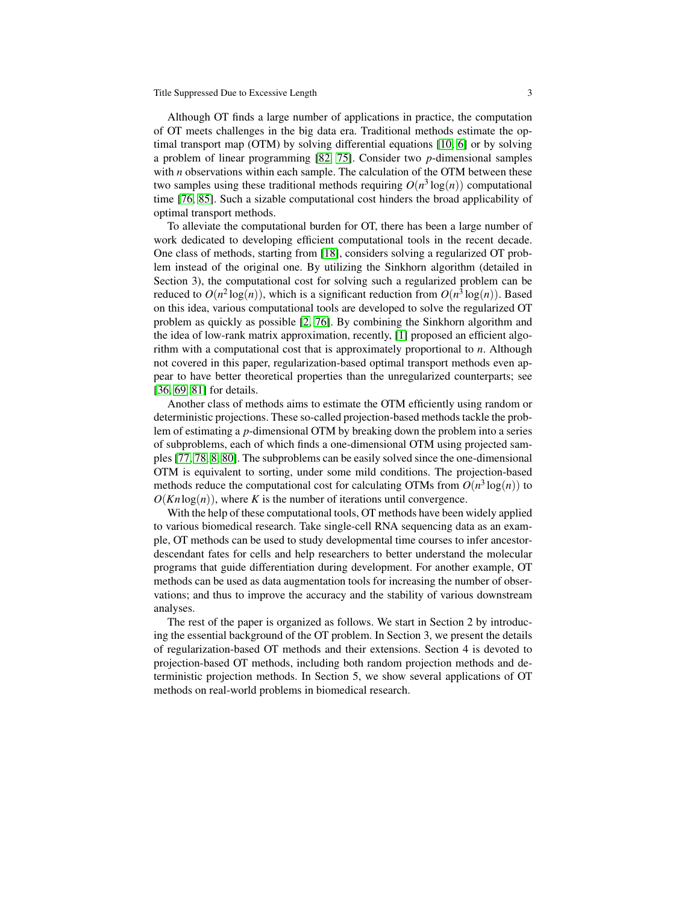Although OT finds a large number of applications in practice, the computation of OT meets challenges in the big data era. Traditional methods estimate the optimal transport map (OTM) by solving differential equations [\[10,](#page-17-2) [6\]](#page-17-3) or by solving a problem of linear programming [\[82,](#page-20-5) [75\]](#page-20-6). Consider two *p*-dimensional samples with *n* observations within each sample. The calculation of the OTM between these two samples using these traditional methods requiring  $O(n^3 \log(n))$  computational time [\[76,](#page-20-2) [85\]](#page-21-2). Such a sizable computational cost hinders the broad applicability of optimal transport methods.

To alleviate the computational burden for OT, there has been a large number of work dedicated to developing efficient computational tools in the recent decade. One class of methods, starting from [\[18\]](#page-18-8), considers solving a regularized OT problem instead of the original one. By utilizing the Sinkhorn algorithm (detailed in Section 3), the computational cost for solving such a regularized problem can be reduced to  $O(n^2 \log(n))$ , which is a significant reduction from  $O(n^3 \log(n))$ . Based on this idea, various computational tools are developed to solve the regularized OT problem as quickly as possible [\[2,](#page-17-4) [76\]](#page-20-2). By combining the Sinkhorn algorithm and the idea of low-rank matrix approximation, recently, [\[1\]](#page-17-5) proposed an efficient algorithm with a computational cost that is approximately proportional to *n*. Although not covered in this paper, regularization-based optimal transport methods even appear to have better theoretical properties than the unregularized counterparts; see [\[36,](#page-19-1) [69,](#page-20-7) [81\]](#page-20-8) for details.

Another class of methods aims to estimate the OTM efficiently using random or deterministic projections. These so-called projection-based methods tackle the problem of estimating a *p*-dimensional OTM by breaking down the problem into a series of subproblems, each of which finds a one-dimensional OTM using projected samples [\[77,](#page-20-9) [78,](#page-20-10) [8,](#page-17-6) [80\]](#page-20-11). The subproblems can be easily solved since the one-dimensional OTM is equivalent to sorting, under some mild conditions. The projection-based methods reduce the computational cost for calculating OTMs from  $O(n^3 \log(n))$  to  $O(Kn \log(n))$ , where *K* is the number of iterations until convergence.

With the help of these computational tools, OT methods have been widely applied to various biomedical research. Take single-cell RNA sequencing data as an example, OT methods can be used to study developmental time courses to infer ancestordescendant fates for cells and help researchers to better understand the molecular programs that guide differentiation during development. For another example, OT methods can be used as data augmentation tools for increasing the number of observations; and thus to improve the accuracy and the stability of various downstream analyses.

The rest of the paper is organized as follows. We start in Section 2 by introducing the essential background of the OT problem. In Section 3, we present the details of regularization-based OT methods and their extensions. Section 4 is devoted to projection-based OT methods, including both random projection methods and deterministic projection methods. In Section 5, we show several applications of OT methods on real-world problems in biomedical research.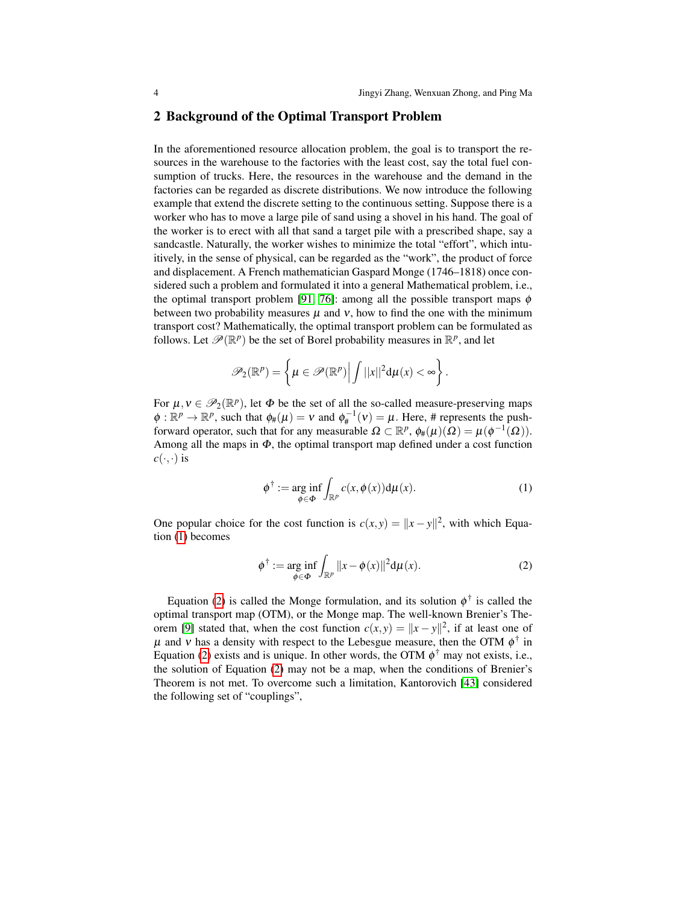#### 2 Background of the Optimal Transport Problem

In the aforementioned resource allocation problem, the goal is to transport the resources in the warehouse to the factories with the least cost, say the total fuel consumption of trucks. Here, the resources in the warehouse and the demand in the factories can be regarded as discrete distributions. We now introduce the following example that extend the discrete setting to the continuous setting. Suppose there is a worker who has to move a large pile of sand using a shovel in his hand. The goal of the worker is to erect with all that sand a target pile with a prescribed shape, say a sandcastle. Naturally, the worker wishes to minimize the total "effort", which intuitively, in the sense of physical, can be regarded as the "work", the product of force and displacement. A French mathematician Gaspard Monge (1746–1818) once considered such a problem and formulated it into a general Mathematical problem, i.e., the optimal transport problem [\[91,](#page-21-0) [76\]](#page-20-2): among all the possible transport maps  $\phi$ between two probability measures  $\mu$  and  $\nu$ , how to find the one with the minimum transport cost? Mathematically, the optimal transport problem can be formulated as follows. Let  $\mathscr{P}(\mathbb{R}^p)$  be the set of Borel probability measures in  $\mathbb{R}^p$ , and let

$$
\mathscr{P}_2(\mathbb{R}^p) = \left\{ \mu \in \mathscr{P}(\mathbb{R}^p) \middle| \int ||x||^2 d\mu(x) < \infty \right\}.
$$

For  $\mu, \nu \in \mathcal{P}_2(\mathbb{R}^p)$ , let  $\Phi$  be the set of all the so-called measure-preserving maps  $\phi : \mathbb{R}^p \to \mathbb{R}^p$ , such that  $\phi_\#(\mu) = v$  and  $\phi_\#^{-1}(v) = \mu$ . Here, # represents the pushforward operator, such that for any measurable  $\Omega \subset \mathbb{R}^p$ ,  $\phi_\#(\mu)(\Omega) = \mu(\phi^{-1}(\Omega))$ . Among all the maps in  $\Phi$ , the optimal transport map defined under a cost function  $c(\cdot,\cdot)$  is

<span id="page-3-0"></span>
$$
\phi^{\dagger} := \underset{\phi \in \Phi}{\arg \inf} \int_{\mathbb{R}^p} c(x, \phi(x)) \mathrm{d}\mu(x). \tag{1}
$$

One popular choice for the cost function is  $c(x, y) = ||x - y||^2$ , with which Equation [\(1\)](#page-3-0) becomes

<span id="page-3-1"></span>
$$
\phi^{\dagger} := \underset{\phi \in \Phi}{\arg \inf} \int_{\mathbb{R}^p} ||x - \phi(x)||^2 d\mu(x). \tag{2}
$$

Equation [\(2\)](#page-3-1) is called the Monge formulation, and its solution  $\phi^{\dagger}$  is called the optimal transport map (OTM), or the Monge map. The well-known Brenier's The-orem [\[9\]](#page-17-7) stated that, when the cost function  $c(x, y) = ||x - y||^2$ , if at least one of  $\mu$  and v has a density with respect to the Lebesgue measure, then the OTM  $\phi^{\dagger}$  in Equation [\(2\)](#page-3-1) exists and is unique. In other words, the OTM  $\phi^{\dagger}$  may not exists, i.e., the solution of Equation [\(2\)](#page-3-1) may not be a map, when the conditions of Brenier's Theorem is not met. To overcome such a limitation, Kantorovich [\[43\]](#page-19-2) considered the following set of "couplings",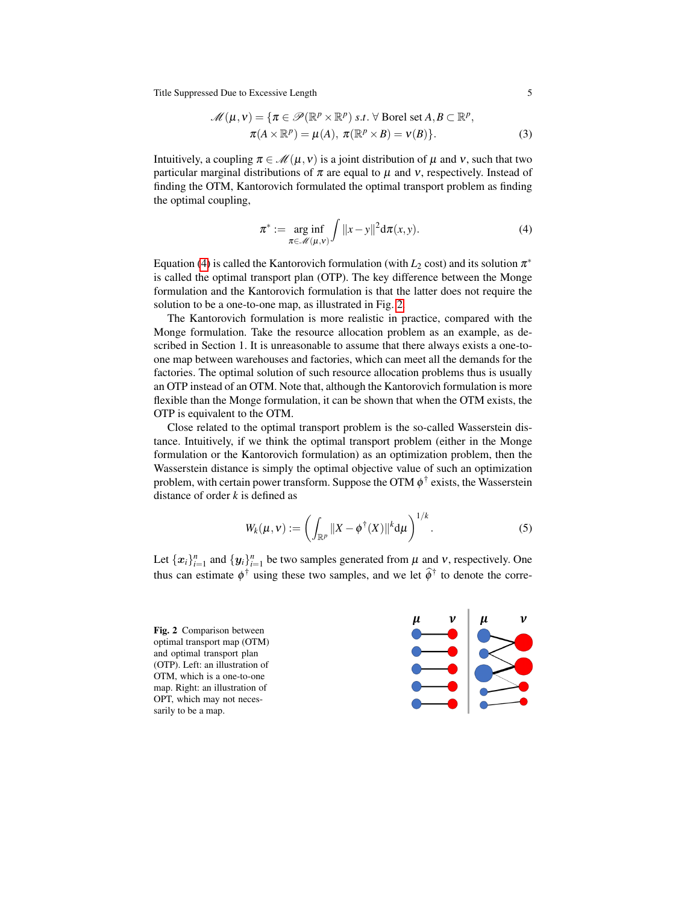<span id="page-4-3"></span>
$$
\mathcal{M}(\mu, v) = \{ \pi \in \mathcal{P}(\mathbb{R}^p \times \mathbb{R}^p) \text{ s.t. } \forall \text{ Borel set } A, B \subset \mathbb{R}^p, \n\pi(A \times \mathbb{R}^p) = \mu(A), \pi(\mathbb{R}^p \times B) = v(B) \}.
$$
\n(3)

Intuitively, a coupling  $\pi \in \mathcal{M}(\mu, v)$  is a joint distribution of  $\mu$  and v, such that two particular marginal distributions of  $\pi$  are equal to  $\mu$  and  $\nu$ , respectively. Instead of finding the OTM, Kantorovich formulated the optimal transport problem as finding the optimal coupling,

<span id="page-4-0"></span>
$$
\pi^* := \underset{\pi \in \mathcal{M}(\mu,\nu)}{\arg \inf} \int \|x - y\|^2 \mathrm{d}\pi(x,y). \tag{4}
$$

Equation [\(4\)](#page-4-0) is called the Kantorovich formulation (with  $L_2$  cost) and its solution  $\pi^*$ is called the optimal transport plan (OTP). The key difference between the Monge formulation and the Kantorovich formulation is that the latter does not require the solution to be a one-to-one map, as illustrated in Fig. [2.](#page-4-1)

The Kantorovich formulation is more realistic in practice, compared with the Monge formulation. Take the resource allocation problem as an example, as described in Section 1. It is unreasonable to assume that there always exists a one-toone map between warehouses and factories, which can meet all the demands for the factories. The optimal solution of such resource allocation problems thus is usually an OTP instead of an OTM. Note that, although the Kantorovich formulation is more flexible than the Monge formulation, it can be shown that when the OTM exists, the OTP is equivalent to the OTM.

Close related to the optimal transport problem is the so-called Wasserstein distance. Intuitively, if we think the optimal transport problem (either in the Monge formulation or the Kantorovich formulation) as an optimization problem, then the Wasserstein distance is simply the optimal objective value of such an optimization problem, with certain power transform. Suppose the OTM  $\phi^{\dagger}$  exists, the Wasserstein distance of order *k* is defined as

<span id="page-4-2"></span>
$$
W_k(\mu, \mathbf{v}) := \left( \int_{\mathbb{R}^p} ||X - \phi^\dagger(X)||^k \mathrm{d}\mu \right)^{1/k}.
$$
 (5)

Let  $\{x_i\}_{i=1}^n$  and  $\{y_i\}_{i=1}^n$  be two samples generated from  $\mu$  and  $\nu$ , respectively. One thus can estimate  $\phi^{\dagger}$  using these two samples, and we let  $\hat{\phi}^{\dagger}$  to denote the corre-

<span id="page-4-1"></span>Fig. 2 Comparison between optimal transport map (OTM) and optimal transport plan (OTP). Left: an illustration of OTM, which is a one-to-one map. Right: an illustration of OPT, which may not necessarily to be a map.

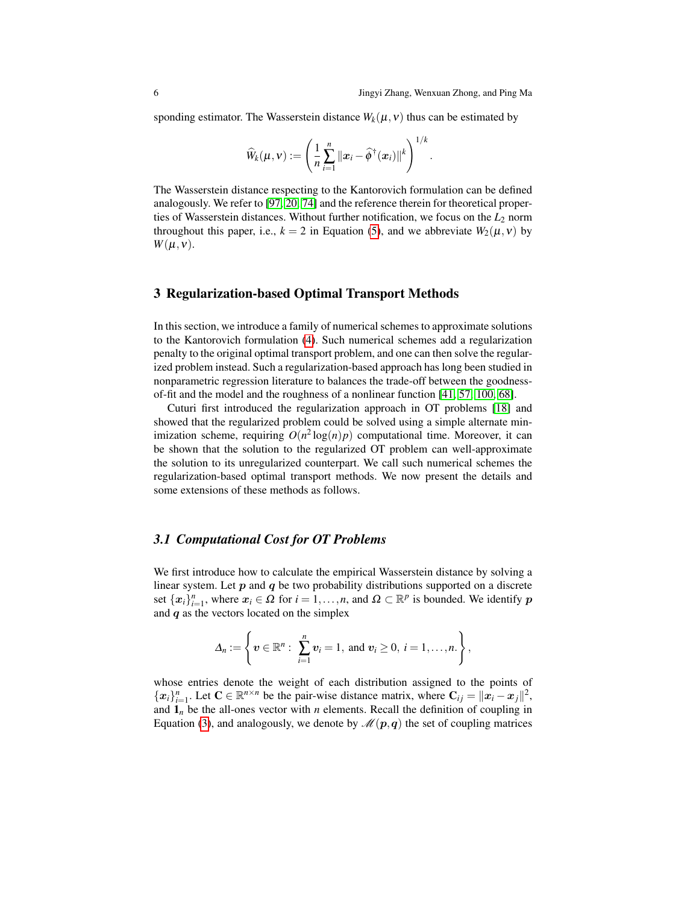sponding estimator. The Wasserstein distance  $W_k(\mu, \nu)$  thus can be estimated by

$$
\widehat{W}_k(\mu, \mathbf{v}) := \left(\frac{1}{n} \sum_{i=1}^n ||\boldsymbol{x}_i - \widehat{\boldsymbol{\phi}}^{\dagger}(\boldsymbol{x}_i)||^k\right)^{1/k}.
$$

The Wasserstein distance respecting to the Kantorovich formulation can be defined analogously. We refer to [\[97,](#page-21-3) [20,](#page-18-9) [74\]](#page-20-3) and the reference therein for theoretical properties of Wasserstein distances. Without further notification, we focus on the *L*<sup>2</sup> norm throughout this paper, i.e.,  $k = 2$  in Equation [\(5\)](#page-4-2), and we abbreviate  $W_2(\mu, \nu)$  by  $W(\mu, v)$ .

#### 3 Regularization-based Optimal Transport Methods

In this section, we introduce a family of numerical schemes to approximate solutions to the Kantorovich formulation [\(4\)](#page-4-0). Such numerical schemes add a regularization penalty to the original optimal transport problem, and one can then solve the regularized problem instead. Such a regularization-based approach has long been studied in nonparametric regression literature to balances the trade-off between the goodnessof-fit and the model and the roughness of a nonlinear function [\[41,](#page-19-3) [57,](#page-19-4) [100,](#page-21-4) [68\]](#page-20-12).

Cuturi first introduced the regularization approach in OT problems [\[18\]](#page-18-8) and showed that the regularized problem could be solved using a simple alternate minimization scheme, requiring  $O(n^2 \log(n)p)$  computational time. Moreover, it can be shown that the solution to the regularized OT problem can well-approximate the solution to its unregularized counterpart. We call such numerical schemes the regularization-based optimal transport methods. We now present the details and some extensions of these methods as follows.

#### *3.1 Computational Cost for OT Problems*

We first introduce how to calculate the empirical Wasserstein distance by solving a linear system. Let  $p$  and  $q$  be two probability distributions supported on a discrete set  $\{x_i\}_{i=1}^n$ , where  $x_i \in \Omega$  for  $i = 1, ..., n$ , and  $\Omega \subset \mathbb{R}^p$  is bounded. We identify p and  $q$  as the vectors located on the simplex

$$
\Delta_n:=\left\{\boldsymbol{v}\in\mathbb{R}^n:\ \sum_{i=1}^n\boldsymbol{v}_i=1,\text{ and } \boldsymbol{v}_i\geq 0,\ i=1,\ldots,n.\right\},\
$$

whose entries denote the weight of each distribution assigned to the points of  ${x_i}_{i=1}^n$ . Let  $C \in \mathbb{R}^{n \times n}$  be the pair-wise distance matrix, where  $C_{ij} = ||x_i - x_j||^2$ , and  $\mathbf{1}_n$  be the all-ones vector with *n* elements. Recall the definition of coupling in Equation [\(3\)](#page-4-3), and analogously, we denote by  $\mathcal{M}(p,q)$  the set of coupling matrices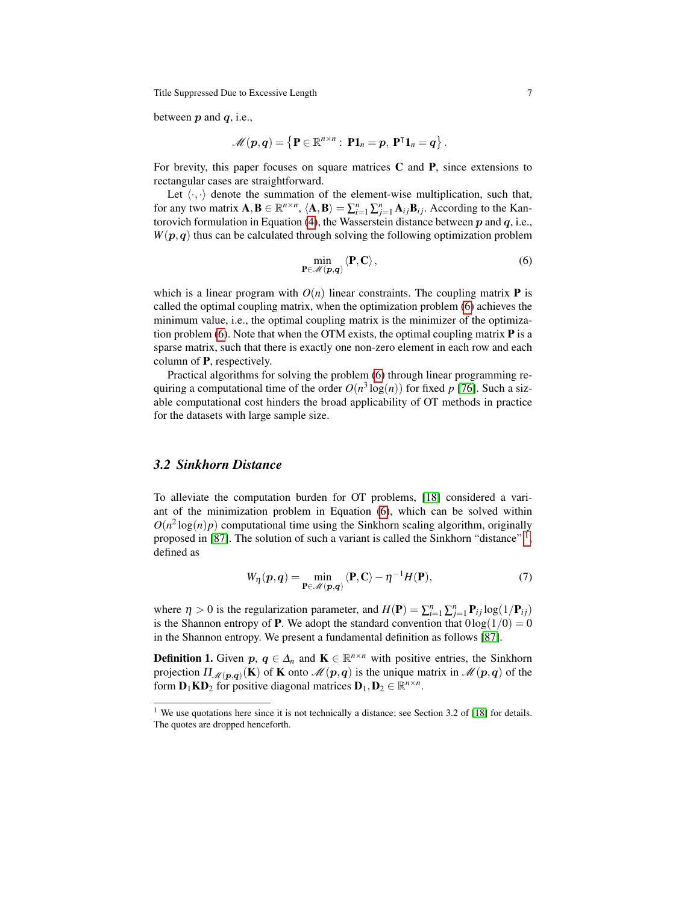between  $p$  and  $q$ , i.e.,

$$
\mathscr{M}(p,q) = \left\{ \mathbf{P} \in \mathbb{R}^{n \times n}: \ \mathbf{P1}_n = p, \ \mathbf{P}^\intercal \mathbf{1}_n = q \right\}.
$$

For brevity, this paper focuses on square matrices  $C$  and  $P$ , since extensions to rectangular cases are straightforward.

Let  $\langle \cdot, \cdot \rangle$  denote the summation of the element-wise multiplication, such that, for any two matrix  $\mathbf{A}, \mathbf{B} \in \mathbb{R}^{n \times n}$ ,  $\langle \mathbf{A}, \mathbf{B} \rangle = \sum_{i=1}^{n} \sum_{j=1}^{n} \mathbf{A}_{ij} \mathbf{B}_{ij}$ . According to the Kan-torovich formulation in Equation [\(4\)](#page-4-0), the Wasserstein distance between  $p$  and  $q$ , i.e.,  $W(p, q)$  thus can be calculated through solving the following optimization problem

<span id="page-6-0"></span>
$$
\min_{\mathbf{P}\in\mathscr{M}(\mathbf{p},\mathbf{q})}\langle\mathbf{P},\mathbf{C}\rangle\,,\tag{6}
$$

which is a linear program with  $O(n)$  linear constraints. The coupling matrix **P** is called the optimal coupling matrix, when the optimization problem [\(6\)](#page-6-0) achieves the minimum value, i.e., the optimal coupling matrix is the minimizer of the optimiza-tion problem [\(6\)](#page-6-0). Note that when the OTM exists, the optimal coupling matrix  $P$  is a sparse matrix, such that there is exactly one non-zero element in each row and each column of P, respectively.

Practical algorithms for solving the problem [\(6\)](#page-6-0) through linear programming requiring a computational time of the order  $O(n^3 \log(n))$  for fixed p [\[76\]](#page-20-2). Such a sizable computational cost hinders the broad applicability of OT methods in practice for the datasets with large sample size.

### *3.2 Sinkhorn Distance*

To alleviate the computation burden for OT problems, [\[18\]](#page-18-8) considered a variant of the minimization problem in Equation [\(6\)](#page-6-0), which can be solved within  $O(n^2 \log(n)p)$  computational time using the Sinkhorn scaling algorithm, originally proposed in [\[87\]](#page-21-5). The solution of such a variant is called the Sinkhorn "distance" <sup>[1](#page-0-0)</sup>, defined as

<span id="page-6-1"></span>
$$
W_{\eta}(\boldsymbol{p}, \boldsymbol{q}) = \min_{\mathbf{P} \in \mathscr{M}(\boldsymbol{p}, \boldsymbol{q})} \langle \mathbf{P}, \mathbf{C} \rangle - \eta^{-1} H(\mathbf{P}), \tag{7}
$$

where  $\eta > 0$  is the regularization parameter, and  $H(\mathbf{P}) = \sum_{i=1}^{n} \sum_{j=1}^{n} \mathbf{P}_{ij} \log(1/\mathbf{P}_{ij})$ is the Shannon entropy of **P**. We adopt the standard convention that  $0\log(1/0) = 0$ in the Shannon entropy. We present a fundamental definition as follows [\[87\]](#page-21-5).

**Definition 1.** Given  $p, q \in \Delta_n$  and  $\mathbf{K} \in \mathbb{R}^{n \times n}$  with positive entries, the Sinkhorn projection  $\Pi_{\mathcal{M}(p,q)}(\mathbf{K})$  of **K** onto  $\mathcal{M}(p,q)$  is the unique matrix in  $\mathcal{M}(p,q)$  of the form  $\mathbf{D}_1 \mathbf{K} \mathbf{D}_2$  for positive diagonal matrices  $\mathbf{D}_1, \mathbf{D}_2 \in \mathbb{R}^{n \times n}$ .

<sup>&</sup>lt;sup>1</sup> We use quotations here since it is not technically a distance; see Section 3.2 of [\[18\]](#page-18-8) for details. The quotes are dropped henceforth.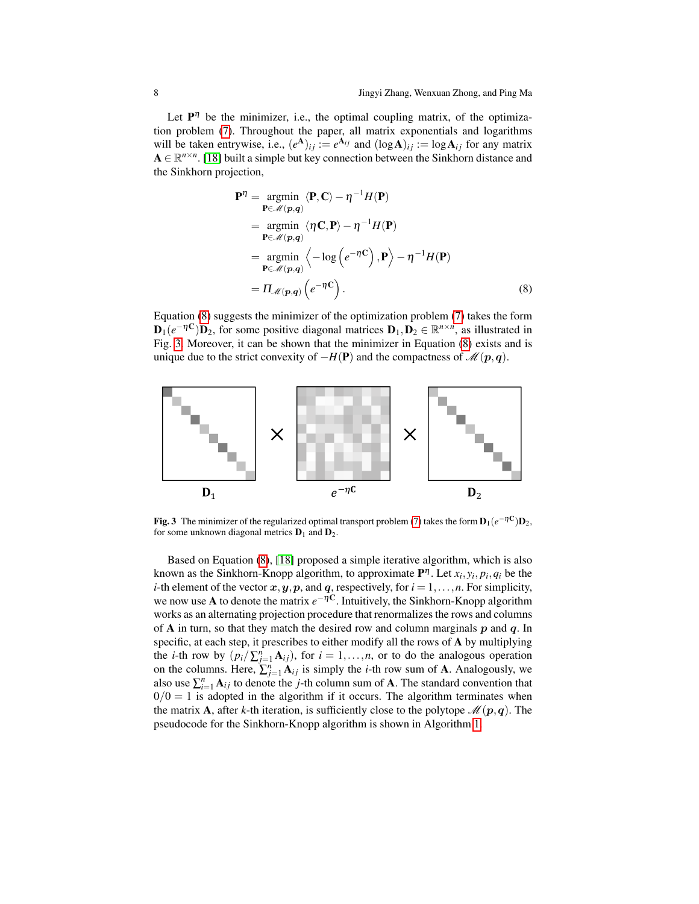Let  $P^{\eta}$  be the minimizer, i.e., the optimal coupling matrix, of the optimization problem [\(7\)](#page-6-1). Throughout the paper, all matrix exponentials and logarithms will be taken entrywise, i.e.,  $(e^{A})_{ij} := e^{A_{ij}}$  and  $(\log A)_{ij} := \log A_{ij}$  for any matrix  $A \in \mathbb{R}^{n \times n}$ . [\[18\]](#page-18-8) built a simple but key connection between the Sinkhorn distance and the Sinkhorn projection,

<span id="page-7-1"></span><span id="page-7-0"></span>
$$
\mathbf{P}^{\eta} = \underset{\mathbf{P} \in \mathcal{M}(p,q)}{\operatorname{argmin}} \langle \mathbf{P}, \mathbf{C} \rangle - \eta^{-1} H(\mathbf{P})
$$
  
\n
$$
= \underset{\mathbf{P} \in \mathcal{M}(p,q)}{\operatorname{argmin}} \langle \eta \mathbf{C}, \mathbf{P} \rangle - \eta^{-1} H(\mathbf{P})
$$
  
\n
$$
= \underset{\mathbf{P} \in \mathcal{M}(p,q)}{\operatorname{argmin}} \langle -\log \left( e^{-\eta \mathbf{C}} \right), \mathbf{P} \rangle - \eta^{-1} H(\mathbf{P})
$$
  
\n
$$
= \Pi_{\mathcal{M}(p,q)} \left( e^{-\eta \mathbf{C}} \right). \tag{8}
$$

Equation [\(8\)](#page-7-0) suggests the minimizer of the optimization problem [\(7\)](#page-6-1) takes the form  $\mathbf{D}_1(e^{-\eta \mathbf{C}}) \mathbf{D}_2$ , for some positive diagonal matrices  $\mathbf{D}_1, \mathbf{D}_2 \in \mathbb{R}^{n \times n}$ , as illustrated in Fig. [3.](#page-7-1) Moreover, it can be shown that the minimizer in Equation [\(8\)](#page-7-0) exists and is unique due to the strict convexity of  $-H(P)$  and the compactness of  $\mathcal{M}(p,q)$ .



Fig. 3 The minimizer of the regularized optimal transport problem [\(7\)](#page-6-1) takes the form  $D_1(e^{-\eta C})D_2$ , for some unknown diagonal metrics  $D_1$  and  $D_2$ .

Based on Equation [\(8\)](#page-7-0), [\[18\]](#page-18-8) proposed a simple iterative algorithm, which is also known as the Sinkhorn-Knopp algorithm, to approximate  $P^{\eta}$ . Let  $x_i, y_i, p_i, q_i$  be the *i*-th element of the vector  $x, y, p$ , and  $q$ , respectively, for  $i = 1, \ldots, n$ . For simplicity, we now use A to denote the matrix  $e^{-\eta C}$ . Intuitively, the Sinkhorn-Knopp algorithm works as an alternating projection procedure that renormalizes the rows and columns of A in turn, so that they match the desired row and column marginals  $p$  and  $q$ . In specific, at each step, it prescribes to either modify all the rows of A by multiplying the *i*-th row by  $(p_i/\sum_{j=1}^n A_{ij})$ , for  $i = 1,...,n$ , or to do the analogous operation on the columns. Here,  $\sum_{j=1}^{n} A_{ij}$  is simply the *i*-th row sum of **A**. Analogously, we also use  $\sum_{i=1}^{n} A_{ij}$  to denote the *j*-th column sum of A. The standard convention that  $0/0 = 1$  is adopted in the algorithm if it occurs. The algorithm terminates when the matrix **A**, after *k*-th iteration, is sufficiently close to the polytope  $\mathcal{M}(p,q)$ . The pseudocode for the Sinkhorn-Knopp algorithm is shown in Algorithm [1.](#page-8-0)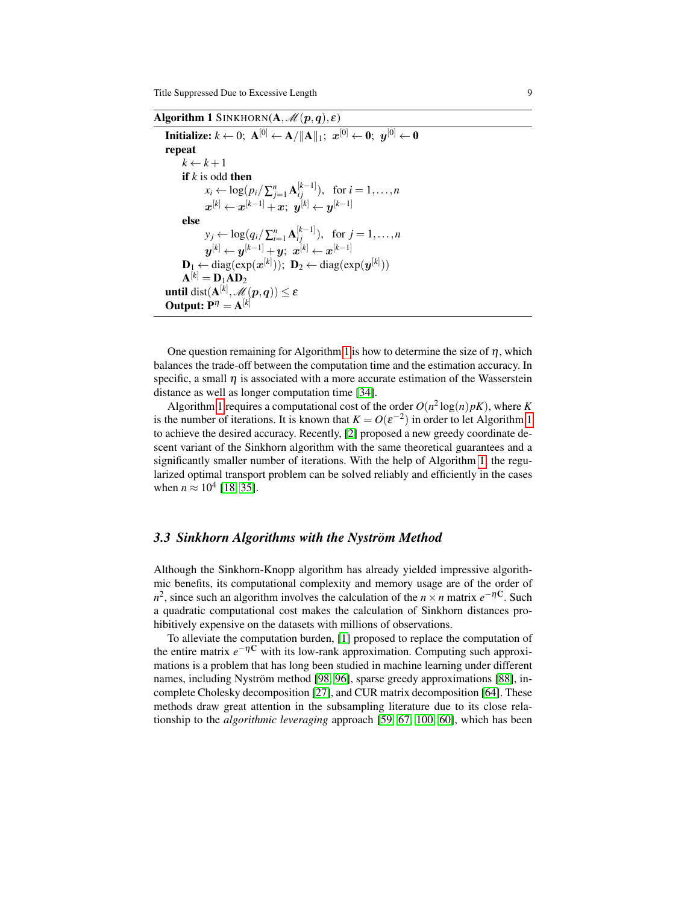Algorithm 1 SINKHORN( $A, \mathcal{M}(p,q), \varepsilon$ )

<span id="page-8-0"></span> $\textbf{Initialize: } k \leftarrow 0; \; \mathbf{A}^{[0]} \leftarrow \mathbf{A} / \|\mathbf{A}\|_1; \; \bm{x}^{[0]} \leftarrow \mathbf{0}; \; \bm{y}^{[0]} \leftarrow \mathbf{0}$ repeat  $k \leftarrow k+1$ if *k* is odd then  $x_i \leftarrow \log(p_i/\sum_{j=1}^n \mathbf{A}_{ij}^{[k-1]}), \text{ for } i = 1, ..., n$  $\boldsymbol{x}^{[k]} \leftarrow \boldsymbol{x}^{[k-1]} + \boldsymbol{x}; \enspace \boldsymbol{y}^{[k]} \leftarrow \boldsymbol{y}^{[k-1]}$ else  $y_j \leftarrow \log(q_i/\sum_{i=1}^n \mathbf{A}_{ij}^{[k-1]}), \text{ for } j = 1, ..., n$  $\boldsymbol{y}^{[k]} \leftarrow \boldsymbol{y}^{[k-1]} + \boldsymbol{y}; \,\, \boldsymbol{x}^{[k]} \leftarrow \boldsymbol{x}^{[k-1]}$  $\mathbf{D}_1 \leftarrow \text{diag}(\exp(\bm{x}^{[k]})); \ \mathbf{D}_2 \leftarrow \text{diag}(\exp(\bm{y}^{[k]}))$  $\mathbf{A}^{[k]}=\mathbf{D}_1\mathbf{A}\mathbf{D}_2$  $\textbf{until } \text{dist}(\mathbf{A}^{[k]},\mathscr{M}(\boldsymbol{p},\boldsymbol{q})) \leq \varepsilon$ **Output:**  $P^{\eta} = A^{[k]}$ 

One question remaining for Algorithm [1](#page-8-0) is how to determine the size of  $\eta$ , which balances the trade-off between the computation time and the estimation accuracy. In specific, a small  $\eta$  is associated with a more accurate estimation of the Wasserstein distance as well as longer computation time [\[34\]](#page-19-5).

Algorithm [1](#page-8-0) requires a computational cost of the order  $O(n^2 \log(n)pK)$ , where *K* is the number of iterations. It is known that  $K = O(\varepsilon^{-2})$  in order to let Algorithm [1](#page-8-0) to achieve the desired accuracy. Recently, [\[2\]](#page-17-4) proposed a new greedy coordinate descent variant of the Sinkhorn algorithm with the same theoretical guarantees and a significantly smaller number of iterations. With the help of Algorithm [1,](#page-8-0) the regularized optimal transport problem can be solved reliably and efficiently in the cases when  $n \approx 10^4$  [\[18,](#page-18-8) [35\]](#page-19-6).

#### *3.3 Sinkhorn Algorithms with the Nystrom Method* ¨

Although the Sinkhorn-Knopp algorithm has already yielded impressive algorithmic benefits, its computational complexity and memory usage are of the order of  $n^2$ , since such an algorithm involves the calculation of the *n* × *n* matrix  $e^{-\eta C}$ . Such a quadratic computational cost makes the calculation of Sinkhorn distances prohibitively expensive on the datasets with millions of observations.

To alleviate the computation burden, [\[1\]](#page-17-5) proposed to replace the computation of the entire matrix  $e^{-\eta C}$  with its low-rank approximation. Computing such approximations is a problem that has long been studied in machine learning under different names, including Nyström method [\[98,](#page-21-6) [96\]](#page-21-7), sparse greedy approximations [\[88\]](#page-21-8), incomplete Cholesky decomposition [\[27\]](#page-18-10), and CUR matrix decomposition [\[64\]](#page-20-13). These methods draw great attention in the subsampling literature due to its close relationship to the *algorithmic leveraging* approach [\[59,](#page-19-7) [67,](#page-20-14) [100,](#page-21-4) [60\]](#page-19-8), which has been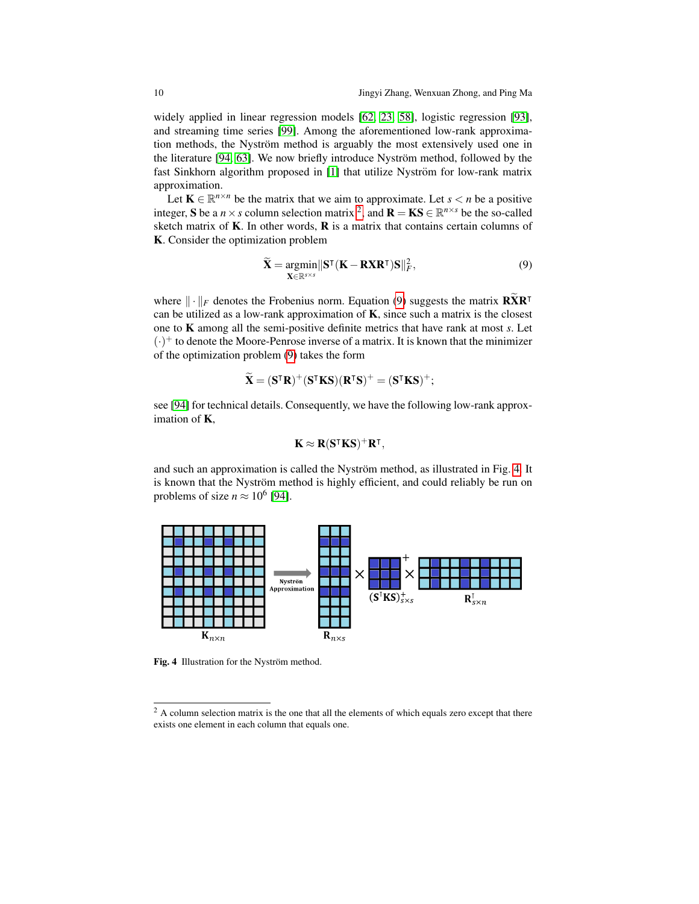widely applied in linear regression models [\[62,](#page-20-15) [23,](#page-18-11) [58\]](#page-19-9), logistic regression [\[93\]](#page-21-9), and streaming time series [\[99\]](#page-21-10). Among the aforementioned low-rank approximation methods, the Nyström method is arguably the most extensively used one in the literature [\[94,](#page-21-11) [63\]](#page-20-16). We now briefly introduce Nyström method, followed by the fast Sinkhorn algorithm proposed in [\[1\]](#page-17-5) that utilize Nyström for low-rank matrix approximation.

Let  $\mathbf{K} \in \mathbb{R}^{n \times n}$  be the matrix that we aim to approximate. Let  $s < n$  be a positive integer, **S** be a  $n \times s$  column selection matrix <sup>[2](#page-0-0)</sup>, and  $\mathbf{R} = \mathbf{K} \mathbf{S} \in \mathbb{R}^{n \times s}$  be the so-called sketch matrix of  $K$ . In other words,  $R$  is a matrix that contains certain columns of K. Consider the optimization problem

<span id="page-9-0"></span>
$$
\widetilde{\mathbf{X}} = \underset{\mathbf{X} \in \mathbb{R}^{s \times s}}{\operatorname{argmin}} \|\mathbf{S}^\mathsf{T}(\mathbf{K} - \mathbf{R}\mathbf{X}\mathbf{R}^\mathsf{T})\mathbf{S}\|_F^2, \tag{9}
$$

where  $\|\cdot\|_F$  denotes the Frobenius norm. Equation [\(9\)](#page-9-0) suggests the matrix  $\widetilde{\mathbf{R}}\widetilde{\mathbf{X}}\mathbf{R}^T$ can be utilized as a low-rank approximation of  $K$ , since such a matrix is the closest one to K among all the semi-positive definite metrics that have rank at most *s*. Let  $(\cdot)^+$  to denote the Moore-Penrose inverse of a matrix. It is known that the minimizer of the optimization problem [\(9\)](#page-9-0) takes the form

$$
\widetilde{\mathbf{X}} = (\mathbf{S}^\mathsf{T} \mathbf{R})^+(\mathbf{S}^\mathsf{T} \mathbf{K} \mathbf{S}) (\mathbf{R}^\mathsf{T} \mathbf{S})^+ = (\mathbf{S}^\mathsf{T} \mathbf{K} \mathbf{S})^+;
$$

see [\[94\]](#page-21-11) for technical details. Consequently, we have the following low-rank approximation of K,

<span id="page-9-1"></span>
$$
\mathbf{K} \approx \mathbf{R} (\mathbf{S}^\mathsf{T} \mathbf{K} \mathbf{S})^+ \mathbf{R}^\mathsf{T},
$$

and such an approximation is called the Nyström method, as illustrated in Fig. [4.](#page-9-1) It is known that the Nyström method is highly efficient, and could reliably be run on problems of size  $n \approx 10^6$  [\[94\]](#page-21-11).



Fig. 4 Illustration for the Nyström method.

<sup>&</sup>lt;sup>2</sup> A column selection matrix is the one that all the elements of which equals zero except that there exists one element in each column that equals one.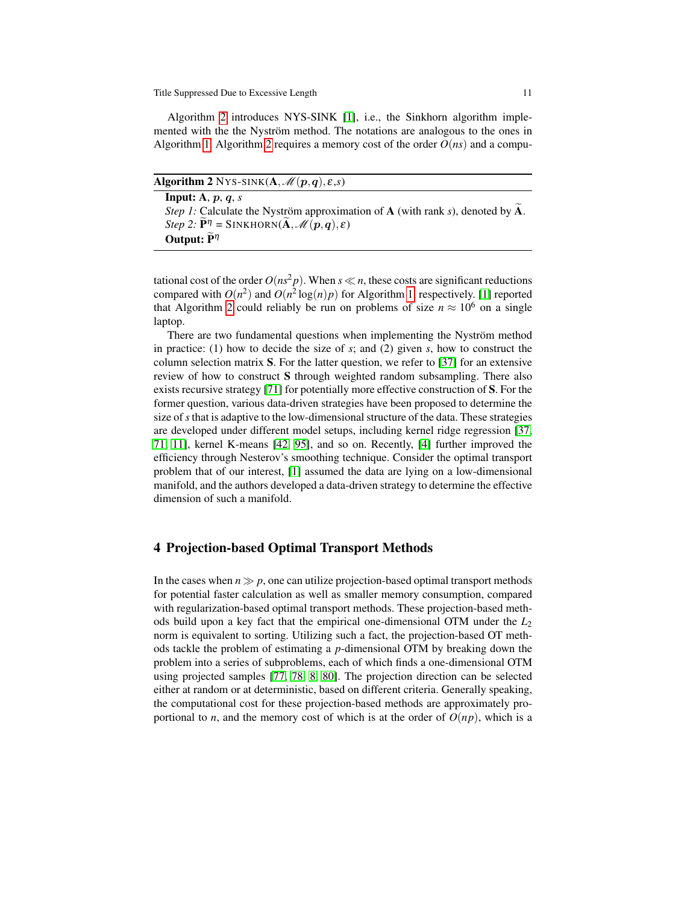Algorithm [2](#page-10-0) introduces NYS-SINK [\[1\]](#page-17-5), i.e., the Sinkhorn algorithm implemented with the the Nyström method. The notations are analogous to the ones in Algorithm [1.](#page-8-0) Algorithm [2](#page-10-0) requires a memory cost of the order  $O(ns)$  and a compu-

<span id="page-10-0"></span>Algorithm 2 NYS-SINK $(A, \mathcal{M}(p,q), \varepsilon, s)$ Input: A, p, q, *s Step 1:* Calculate the Nyström approximation of **A** (with rank *s*), denoted by  $\widetilde{A}$ . *Step 2:*  $\mathbf{P}^{\eta} = \text{SINKHORN}(\mathbf{A}, \mathcal{M}(p,q), \varepsilon)$ Output:  $\widetilde{P}^{\eta}$ 

tational cost of the order  $O(ns^2p)$ . When  $s \ll n$ , these costs are significant reductions compared with  $O(n^2)$  and  $O(n^2 \log(n)p)$  for Algorithm [1,](#page-8-0) respectively. [\[1\]](#page-17-5) reported that Algorithm [2](#page-10-0) could reliably be run on problems of size  $n \approx 10^6$  on a single laptop.

There are two fundamental questions when implementing the Nyström method in practice: (1) how to decide the size of *s*; and (2) given *s*, how to construct the column selection matrix S. For the latter question, we refer to [\[37\]](#page-19-10) for an extensive review of how to construct S through weighted random subsampling. There also exists recursive strategy [\[71\]](#page-20-17) for potentially more effective construction of S. For the former question, various data-driven strategies have been proposed to determine the size of*s*that is adaptive to the low-dimensional structure of the data. These strategies are developed under different model setups, including kernel ridge regression [\[37,](#page-19-10) [71,](#page-20-17) [11\]](#page-17-8), kernel K-means [\[42,](#page-19-11) [95\]](#page-21-12), and so on. Recently, [\[4\]](#page-17-9) further improved the efficiency through Nesterov's smoothing technique. Consider the optimal transport problem that of our interest, [\[1\]](#page-17-5) assumed the data are lying on a low-dimensional manifold, and the authors developed a data-driven strategy to determine the effective dimension of such a manifold.

#### 4 Projection-based Optimal Transport Methods

In the cases when  $n \gg p$ , one can utilize projection-based optimal transport methods for potential faster calculation as well as smaller memory consumption, compared with regularization-based optimal transport methods. These projection-based methods build upon a key fact that the empirical one-dimensional OTM under the *L*<sup>2</sup> norm is equivalent to sorting. Utilizing such a fact, the projection-based OT methods tackle the problem of estimating a *p*-dimensional OTM by breaking down the problem into a series of subproblems, each of which finds a one-dimensional OTM using projected samples [\[77,](#page-20-9) [78,](#page-20-10) [8,](#page-17-6) [80\]](#page-20-11). The projection direction can be selected either at random or at deterministic, based on different criteria. Generally speaking, the computational cost for these projection-based methods are approximately proportional to *n*, and the memory cost of which is at the order of  $O(np)$ , which is a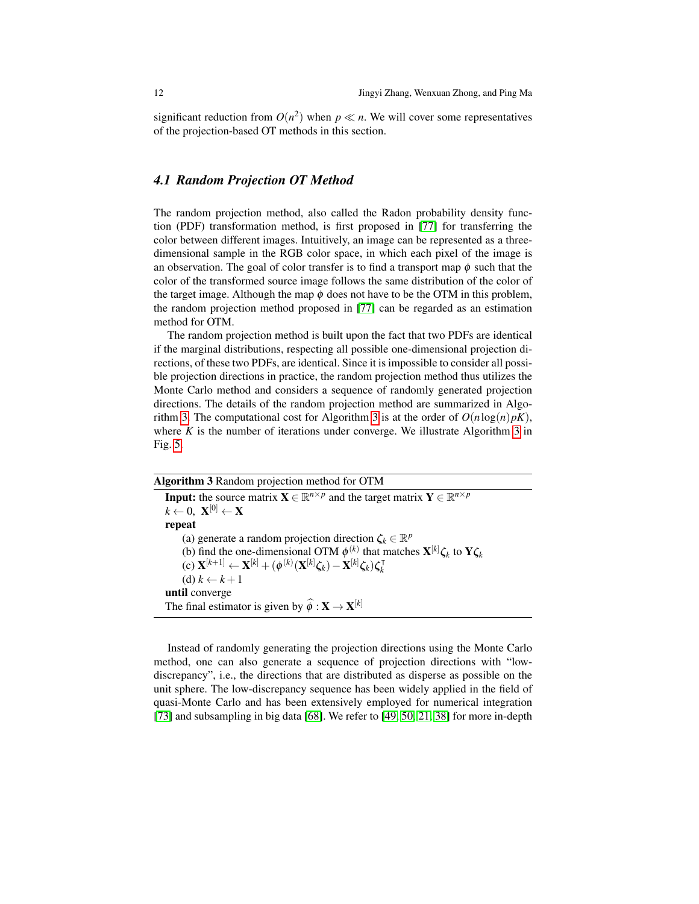significant reduction from  $O(n^2)$  when  $p \ll n$ . We will cover some representatives of the projection-based OT methods in this section.

#### *4.1 Random Projection OT Method*

The random projection method, also called the Radon probability density function (PDF) transformation method, is first proposed in [\[77\]](#page-20-9) for transferring the color between different images. Intuitively, an image can be represented as a threedimensional sample in the RGB color space, in which each pixel of the image is an observation. The goal of color transfer is to find a transport map  $\phi$  such that the color of the transformed source image follows the same distribution of the color of the target image. Although the map  $\phi$  does not have to be the OTM in this problem, the random projection method proposed in [\[77\]](#page-20-9) can be regarded as an estimation method for OTM.

The random projection method is built upon the fact that two PDFs are identical if the marginal distributions, respecting all possible one-dimensional projection directions, of these two PDFs, are identical. Since it is impossible to consider all possible projection directions in practice, the random projection method thus utilizes the Monte Carlo method and considers a sequence of randomly generated projection directions. The details of the random projection method are summarized in Algo-rithm [3.](#page-11-0) The computational cost for Algorithm [3](#page-11-0) is at the order of  $O(n \log(n)pK)$ , where  $K$  is the number of iterations under converge. We illustrate Algorithm [3](#page-11-0) in Fig. [5.](#page-12-0)

<span id="page-11-0"></span>

| <b>Algorithm 3</b> Random projection method for OTM                                                                                        |
|--------------------------------------------------------------------------------------------------------------------------------------------|
| <b>Input:</b> the source matrix $\mathbf{X} \in \mathbb{R}^{n \times p}$ and the target matrix $\mathbf{Y} \in \mathbb{R}^{n \times p}$    |
| $k \leftarrow 0, \mathbf{X}^{[0]} \leftarrow \mathbf{X}$                                                                                   |
| repeat                                                                                                                                     |
| (a) generate a random projection direction $\zeta_k \in \mathbb{R}^p$                                                                      |
| (b) find the one-dimensional OTM $\phi^{(k)}$ that matches $X^{[k]} \zeta_k$ to $Y \zeta_k$                                                |
| (c) $\mathbf{X}^{[k+1]} \leftarrow \mathbf{X}^{[k]} + (\phi^{(k)}(\mathbf{X}^{[k]}\zeta_k) - \mathbf{X}^{[k]}\zeta_k)\zeta_k^{\mathsf{T}}$ |
| (d) $k \leftarrow k+1$                                                                                                                     |
| until converge                                                                                                                             |
| The final estimator is given by $\widehat{\phi}: \mathbf{X} \to \mathbf{X}^{[k]}$                                                          |

Instead of randomly generating the projection directions using the Monte Carlo method, one can also generate a sequence of projection directions with "lowdiscrepancy", i.e., the directions that are distributed as disperse as possible on the unit sphere. The low-discrepancy sequence has been widely applied in the field of quasi-Monte Carlo and has been extensively employed for numerical integration [\[73\]](#page-20-18) and subsampling in big data [\[68\]](#page-20-12). We refer to [\[49,](#page-19-12) [50,](#page-19-13) [21,](#page-18-12) [38\]](#page-19-14) for more in-depth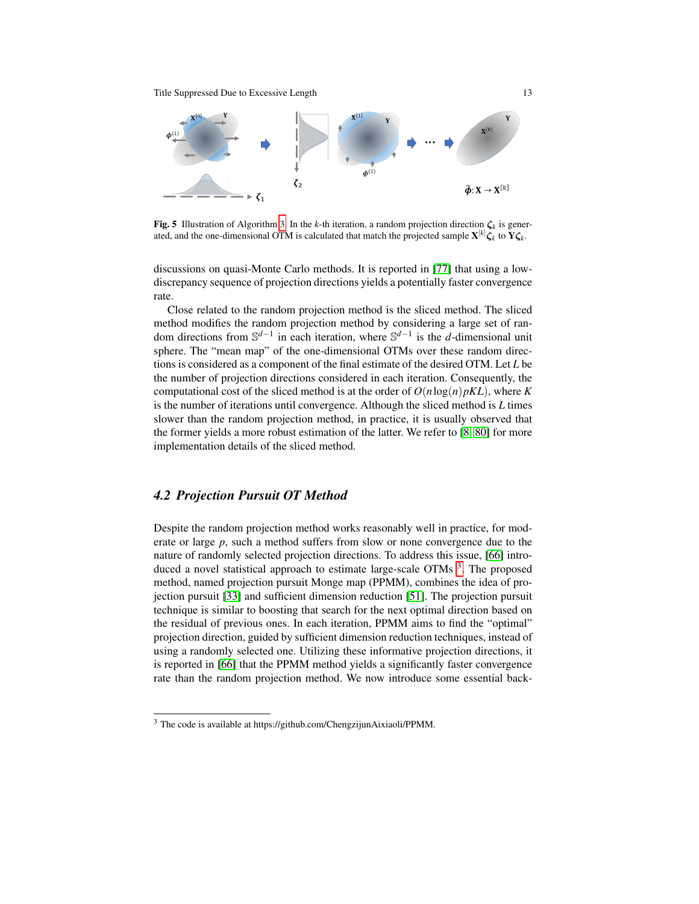<span id="page-12-0"></span>

**Fig. 5** Illustration of Algorithm [3.](#page-11-0) In the *k*-th iteration, a random projection direction  $\zeta_k$  is generated, and the one-dimensional OTM is calculated that match the projected sample  $\mathbf{X}^{[k]} \boldsymbol{\zeta}_k$  to  $\mathbf{Y} \boldsymbol{\zeta}_k$ .

discussions on quasi-Monte Carlo methods. It is reported in [\[77\]](#page-20-9) that using a lowdiscrepancy sequence of projection directions yields a potentially faster convergence rate.

Close related to the random projection method is the sliced method. The sliced method modifies the random projection method by considering a large set of random directions from S *d*−1 in each iteration, where S *d*−1 is the *d*-dimensional unit sphere. The "mean map" of the one-dimensional OTMs over these random directions is considered as a component of the final estimate of the desired OTM. Let *L* be the number of projection directions considered in each iteration. Consequently, the computational cost of the sliced method is at the order of  $O(n \log(n)pKL)$ , where *K* is the number of iterations until convergence. Although the sliced method is *L* times slower than the random projection method, in practice, it is usually observed that the former yields a more robust estimation of the latter. We refer to [\[8,](#page-17-6) [80\]](#page-20-11) for more implementation details of the sliced method.

## *4.2 Projection Pursuit OT Method*

Despite the random projection method works reasonably well in practice, for moderate or large *p*, such a method suffers from slow or none convergence due to the nature of randomly selected projection directions. To address this issue, [\[66\]](#page-20-1) intro-duced a novel statistical approach to estimate large-scale OTMs<sup>[3](#page-0-0)</sup>. The proposed method, named projection pursuit Monge map (PPMM), combines the idea of projection pursuit [\[33\]](#page-18-13) and sufficient dimension reduction [\[51\]](#page-19-15). The projection pursuit technique is similar to boosting that search for the next optimal direction based on the residual of previous ones. In each iteration, PPMM aims to find the "optimal" projection direction, guided by sufficient dimension reduction techniques, instead of using a randomly selected one. Utilizing these informative projection directions, it is reported in [\[66\]](#page-20-1) that the PPMM method yields a significantly faster convergence rate than the random projection method. We now introduce some essential back-

<sup>3</sup> The code is available at https://github.com/ChengzijunAixiaoli/PPMM.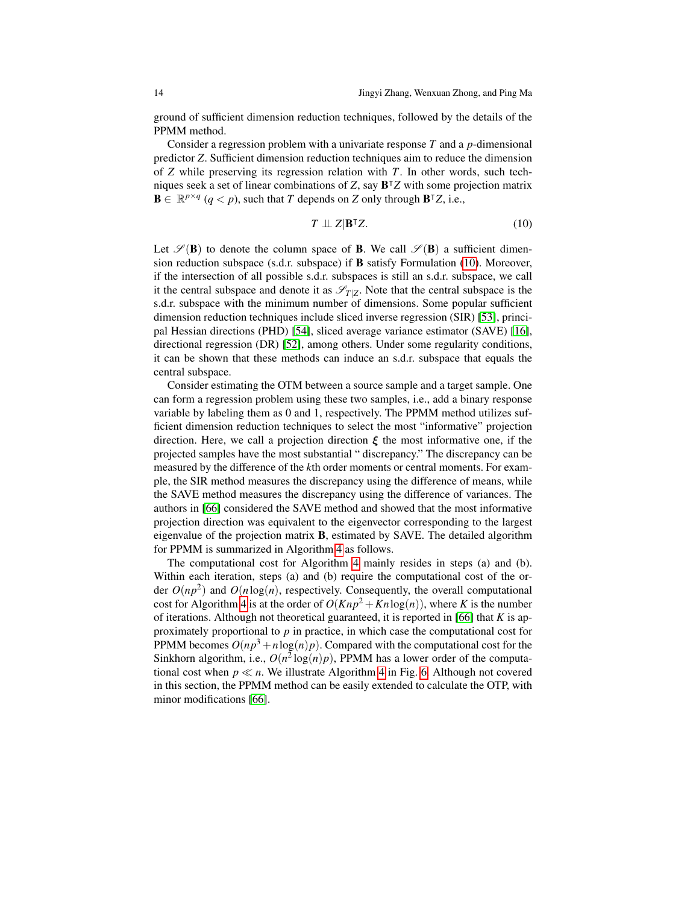ground of sufficient dimension reduction techniques, followed by the details of the PPMM method.

Consider a regression problem with a univariate response *T* and a *p*-dimensional predictor *Z*. Sufficient dimension reduction techniques aim to reduce the dimension of *Z* while preserving its regression relation with *T*. In other words, such techniques seek a set of linear combinations of *Z*, say B <sup>|</sup>*Z* with some projection matrix  $\mathbf{B} \in \mathbb{R}^{p \times q}$  ( $q < p$ ), such that *T* depends on *Z* only through  $\mathbf{B}^\intercal Z$ , i.e.,

<span id="page-13-0"></span>
$$
T \perp\!\!\!\perp Z|\mathbf{B}^{\intercal}Z. \tag{10}
$$

Let  $\mathscr{S}(B)$  to denote the column space of **B**. We call  $\mathscr{S}(B)$  a sufficient dimension reduction subspace (s.d.r. subspace) if B satisfy Formulation [\(10\)](#page-13-0). Moreover, if the intersection of all possible s.d.r. subspaces is still an s.d.r. subspace, we call it the central subspace and denote it as  $\mathscr{S}_{T|Z}$ . Note that the central subspace is the s.d.r. subspace with the minimum number of dimensions. Some popular sufficient dimension reduction techniques include sliced inverse regression (SIR) [\[53\]](#page-19-16), principal Hessian directions (PHD) [\[54\]](#page-19-17), sliced average variance estimator (SAVE) [\[16\]](#page-18-14), directional regression (DR) [\[52\]](#page-19-18), among others. Under some regularity conditions, it can be shown that these methods can induce an s.d.r. subspace that equals the central subspace.

Consider estimating the OTM between a source sample and a target sample. One can form a regression problem using these two samples, i.e., add a binary response variable by labeling them as 0 and 1, respectively. The PPMM method utilizes sufficient dimension reduction techniques to select the most "informative" projection direction. Here, we call a projection direction  $\xi$  the most informative one, if the projected samples have the most substantial " discrepancy." The discrepancy can be measured by the difference of the *k*th order moments or central moments. For example, the SIR method measures the discrepancy using the difference of means, while the SAVE method measures the discrepancy using the difference of variances. The authors in [\[66\]](#page-20-1) considered the SAVE method and showed that the most informative projection direction was equivalent to the eigenvector corresponding to the largest eigenvalue of the projection matrix B, estimated by SAVE. The detailed algorithm for PPMM is summarized in Algorithm [4](#page-14-0) as follows.

The computational cost for Algorithm [4](#page-14-0) mainly resides in steps (a) and (b). Within each iteration, steps (a) and (b) require the computational cost of the order  $O(np^2)$  and  $O(n \log(n))$ , respectively. Consequently, the overall computational cost for Algorithm [4](#page-14-0) is at the order of  $O(Knp^2 + Kn \log(n))$ , where *K* is the number of iterations. Although not theoretical guaranteed, it is reported in [\[66\]](#page-20-1) that *K* is approximately proportional to *p* in practice, in which case the computational cost for PPMM becomes  $O(np^3 + n \log(n)p)$ . Compared with the computational cost for the Sinkhorn algorithm, i.e.,  $O(n^2 \log(n)p)$ , PPMM has a lower order of the computational cost when  $p \ll n$ . We illustrate Algorithm [4](#page-14-0) in Fig. [6.](#page-14-1) Although not covered in this section, the PPMM method can be easily extended to calculate the OTP, with minor modifications [\[66\]](#page-20-1).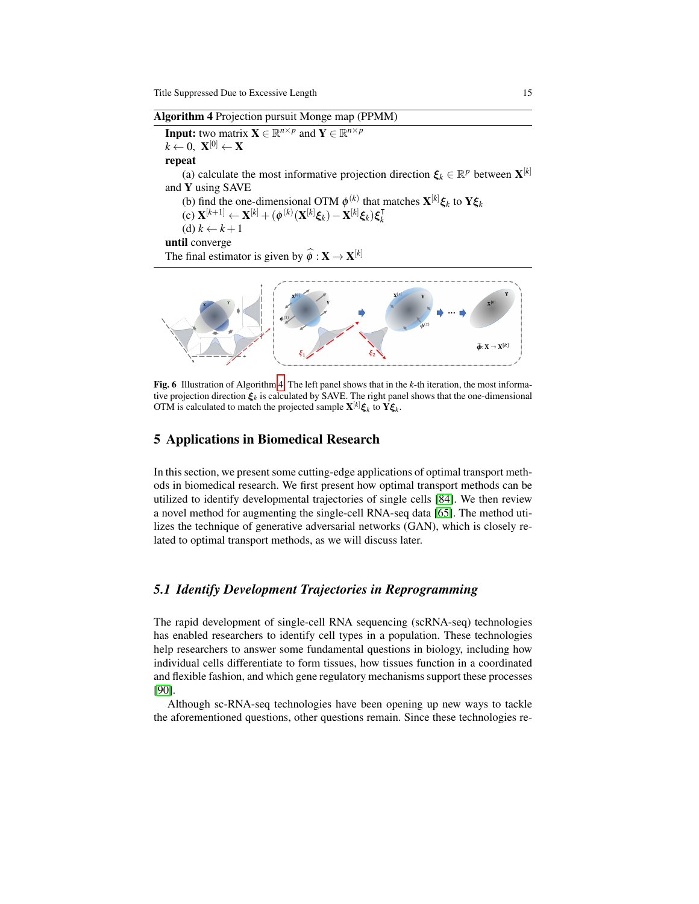Algorithm 4 Projection pursuit Monge map (PPMM)

<span id="page-14-0"></span>**Input:** two matrix  $\mathbf{X} \in \mathbb{R}^{n \times p}$  and  $\mathbf{Y} \in \mathbb{R}^{n \times p}$  $k \leftarrow 0, \ \mathbf{X}^{[0]} \leftarrow \mathbf{X}$ 

repeat

(a) calculate the most informative projection direction  $\xi_k \in \mathbb{R}^p$  between  $\mathbf{X}^{[k]}$ and Y using SAVE

(b) find the one-dimensional OTM  $\phi^{(k)}$  that matches  $\mathbf{X}^{[k]} \boldsymbol{\xi}_k$  to  $\mathbf{Y} \boldsymbol{\xi}_k$  $f(x) = \mathbf{X}^{[k+1]} + \mathbf{X}^{[k]} + (\phi^{(k)}(\mathbf{X}^{[k]}\boldsymbol{\xi}_k) - \mathbf{X}^{[k]}\boldsymbol{\xi}_k)\boldsymbol{\xi}_k^{\mathsf{T}}$ *k*  $(d)$   $k \leftarrow k+1$ until converge The final estimator is given by  $\widehat{\phi}: \mathbf{X} \to \mathbf{X}^{[k]}$ 



<span id="page-14-1"></span>Fig. 6 Illustration of Algorithm [4.](#page-14-0) The left panel shows that in the *k*-th iteration, the most informative projection direction ξ*<sup>k</sup>* is calculated by SAVE. The right panel shows that the one-dimensional OTM is calculated to match the projected sample  $\mathbf{X}^{[k]} \boldsymbol{\xi}_k$  to  $\mathbf{Y} \boldsymbol{\xi}_k$ .

### 5 Applications in Biomedical Research

In this section, we present some cutting-edge applications of optimal transport methods in biomedical research. We first present how optimal transport methods can be utilized to identify developmental trajectories of single cells [\[84\]](#page-21-13). We then review a novel method for augmenting the single-cell RNA-seq data [\[65\]](#page-20-19). The method utilizes the technique of generative adversarial networks (GAN), which is closely related to optimal transport methods, as we will discuss later.

### *5.1 Identify Development Trajectories in Reprogramming*

The rapid development of single-cell RNA sequencing (scRNA-seq) technologies has enabled researchers to identify cell types in a population. These technologies help researchers to answer some fundamental questions in biology, including how individual cells differentiate to form tissues, how tissues function in a coordinated and flexible fashion, and which gene regulatory mechanisms support these processes [\[90\]](#page-21-14).

Although sc-RNA-seq technologies have been opening up new ways to tackle the aforementioned questions, other questions remain. Since these technologies re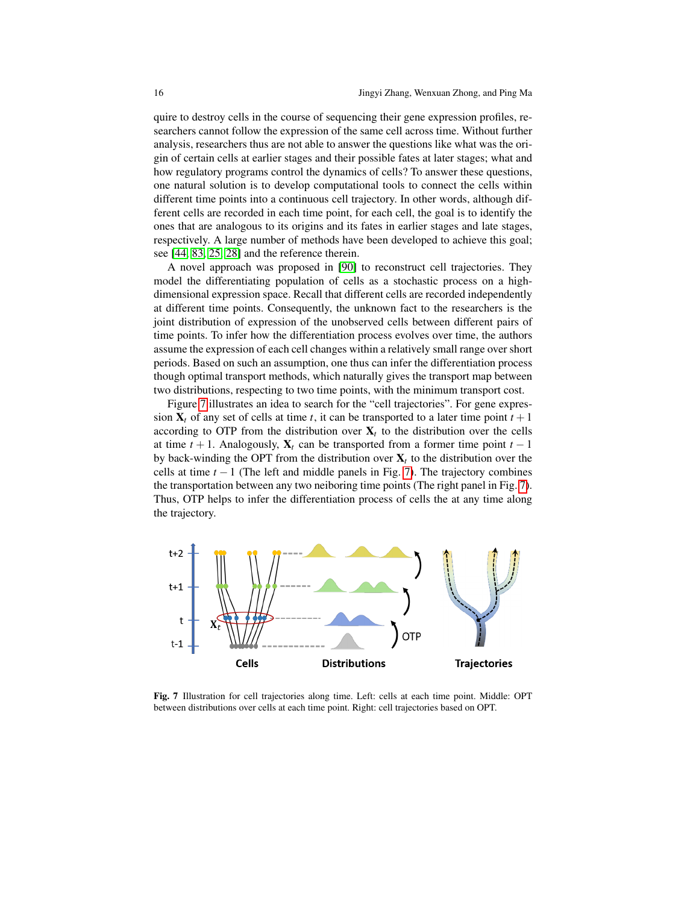quire to destroy cells in the course of sequencing their gene expression profiles, researchers cannot follow the expression of the same cell across time. Without further analysis, researchers thus are not able to answer the questions like what was the origin of certain cells at earlier stages and their possible fates at later stages; what and how regulatory programs control the dynamics of cells? To answer these questions, one natural solution is to develop computational tools to connect the cells within different time points into a continuous cell trajectory. In other words, although different cells are recorded in each time point, for each cell, the goal is to identify the ones that are analogous to its origins and its fates in earlier stages and late stages, respectively. A large number of methods have been developed to achieve this goal; see [\[44,](#page-19-19) [83,](#page-21-15) [25,](#page-18-15) [28\]](#page-18-16) and the reference therein.

A novel approach was proposed in [\[90\]](#page-21-14) to reconstruct cell trajectories. They model the differentiating population of cells as a stochastic process on a highdimensional expression space. Recall that different cells are recorded independently at different time points. Consequently, the unknown fact to the researchers is the joint distribution of expression of the unobserved cells between different pairs of time points. To infer how the differentiation process evolves over time, the authors assume the expression of each cell changes within a relatively small range over short periods. Based on such an assumption, one thus can infer the differentiation process though optimal transport methods, which naturally gives the transport map between two distributions, respecting to two time points, with the minimum transport cost.

Figure [7](#page-15-0) illustrates an idea to search for the "cell trajectories". For gene expression  $X_t$  of any set of cells at time *t*, it can be transported to a later time point  $t + 1$ according to OTP from the distribution over  $X_t$  to the distribution over the cells at time  $t + 1$ . Analogously,  $X_t$  can be transported from a former time point  $t - 1$ by back-winding the OPT from the distribution over  $X_t$  to the distribution over the cells at time  $t - 1$  (The left and middle panels in Fig. [7\)](#page-15-0). The trajectory combines the transportation between any two neiboring time points (The right panel in Fig. [7\)](#page-15-0). Thus, OTP helps to infer the differentiation process of cells the at any time along the trajectory.

<span id="page-15-0"></span>

Fig. 7 Illustration for cell trajectories along time. Left: cells at each time point. Middle: OPT between distributions over cells at each time point. Right: cell trajectories based on OPT.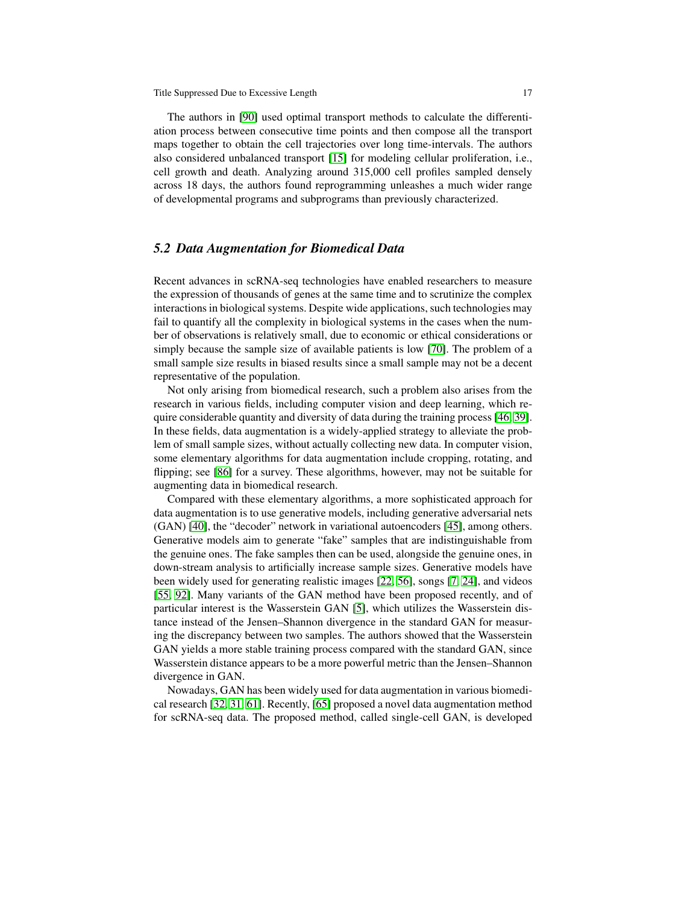The authors in [\[90\]](#page-21-14) used optimal transport methods to calculate the differentiation process between consecutive time points and then compose all the transport maps together to obtain the cell trajectories over long time-intervals. The authors also considered unbalanced transport [\[15\]](#page-18-17) for modeling cellular proliferation, i.e., cell growth and death. Analyzing around 315,000 cell profiles sampled densely across 18 days, the authors found reprogramming unleashes a much wider range of developmental programs and subprograms than previously characterized.

#### *5.2 Data Augmentation for Biomedical Data*

Recent advances in scRNA-seq technologies have enabled researchers to measure the expression of thousands of genes at the same time and to scrutinize the complex interactions in biological systems. Despite wide applications, such technologies may fail to quantify all the complexity in biological systems in the cases when the number of observations is relatively small, due to economic or ethical considerations or simply because the sample size of available patients is low [\[70\]](#page-20-20). The problem of a small sample size results in biased results since a small sample may not be a decent representative of the population.

Not only arising from biomedical research, such a problem also arises from the research in various fields, including computer vision and deep learning, which require considerable quantity and diversity of data during the training process [\[46,](#page-19-20) [39\]](#page-19-21). In these fields, data augmentation is a widely-applied strategy to alleviate the problem of small sample sizes, without actually collecting new data. In computer vision, some elementary algorithms for data augmentation include cropping, rotating, and flipping; see [\[86\]](#page-21-16) for a survey. These algorithms, however, may not be suitable for augmenting data in biomedical research.

Compared with these elementary algorithms, a more sophisticated approach for data augmentation is to use generative models, including generative adversarial nets (GAN) [\[40\]](#page-19-0), the "decoder" network in variational autoencoders [\[45\]](#page-19-22), among others. Generative models aim to generate "fake" samples that are indistinguishable from the genuine ones. The fake samples then can be used, alongside the genuine ones, in down-stream analysis to artificially increase sample sizes. Generative models have been widely used for generating realistic images [\[22,](#page-18-18) [56\]](#page-19-23), songs [\[7,](#page-17-10) [24\]](#page-18-19), and videos [\[55,](#page-19-24) [92\]](#page-21-17). Many variants of the GAN method have been proposed recently, and of particular interest is the Wasserstein GAN [\[5\]](#page-17-0), which utilizes the Wasserstein distance instead of the Jensen–Shannon divergence in the standard GAN for measuring the discrepancy between two samples. The authors showed that the Wasserstein GAN yields a more stable training process compared with the standard GAN, since Wasserstein distance appears to be a more powerful metric than the Jensen–Shannon divergence in GAN.

Nowadays, GAN has been widely used for data augmentation in various biomedical research [\[32,](#page-18-20) [31,](#page-18-21) [61\]](#page-20-21). Recently, [\[65\]](#page-20-19) proposed a novel data augmentation method for scRNA-seq data. The proposed method, called single-cell GAN, is developed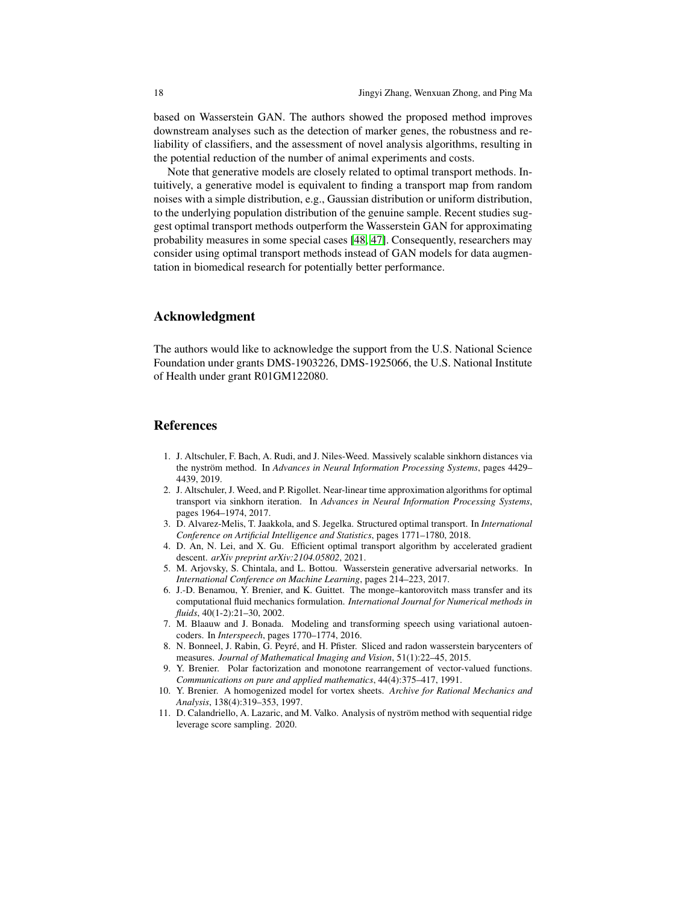based on Wasserstein GAN. The authors showed the proposed method improves downstream analyses such as the detection of marker genes, the robustness and reliability of classifiers, and the assessment of novel analysis algorithms, resulting in the potential reduction of the number of animal experiments and costs.

Note that generative models are closely related to optimal transport methods. Intuitively, a generative model is equivalent to finding a transport map from random noises with a simple distribution, e.g., Gaussian distribution or uniform distribution, to the underlying population distribution of the genuine sample. Recent studies suggest optimal transport methods outperform the Wasserstein GAN for approximating probability measures in some special cases [\[48,](#page-19-25) [47\]](#page-19-26). Consequently, researchers may consider using optimal transport methods instead of GAN models for data augmentation in biomedical research for potentially better performance.

#### Acknowledgment

The authors would like to acknowledge the support from the U.S. National Science Foundation under grants DMS-1903226, DMS-1925066, the U.S. National Institute of Health under grant R01GM122080.

#### **References**

- <span id="page-17-5"></span>1. J. Altschuler, F. Bach, A. Rudi, and J. Niles-Weed. Massively scalable sinkhorn distances via the nyström method. In *Advances in Neural Information Processing Systems*, pages 4429– 4439, 2019.
- <span id="page-17-4"></span>2. J. Altschuler, J. Weed, and P. Rigollet. Near-linear time approximation algorithms for optimal transport via sinkhorn iteration. In *Advances in Neural Information Processing Systems*, pages 1964–1974, 2017.
- <span id="page-17-1"></span>3. D. Alvarez-Melis, T. Jaakkola, and S. Jegelka. Structured optimal transport. In *International Conference on Artificial Intelligence and Statistics*, pages 1771–1780, 2018.
- <span id="page-17-9"></span>4. D. An, N. Lei, and X. Gu. Efficient optimal transport algorithm by accelerated gradient descent. *arXiv preprint arXiv:2104.05802*, 2021.
- <span id="page-17-0"></span>5. M. Arjovsky, S. Chintala, and L. Bottou. Wasserstein generative adversarial networks. In *International Conference on Machine Learning*, pages 214–223, 2017.
- <span id="page-17-3"></span>6. J.-D. Benamou, Y. Brenier, and K. Guittet. The monge–kantorovitch mass transfer and its computational fluid mechanics formulation. *International Journal for Numerical methods in fluids*, 40(1-2):21–30, 2002.
- <span id="page-17-10"></span>7. M. Blaauw and J. Bonada. Modeling and transforming speech using variational autoencoders. In *Interspeech*, pages 1770–1774, 2016.
- <span id="page-17-6"></span>8. N. Bonneel, J. Rabin, G. Peyre, and H. Pfister. Sliced and radon wasserstein barycenters of ´ measures. *Journal of Mathematical Imaging and Vision*, 51(1):22–45, 2015.
- <span id="page-17-7"></span>9. Y. Brenier. Polar factorization and monotone rearrangement of vector-valued functions. *Communications on pure and applied mathematics*, 44(4):375–417, 1991.
- <span id="page-17-2"></span>10. Y. Brenier. A homogenized model for vortex sheets. *Archive for Rational Mechanics and Analysis*, 138(4):319–353, 1997.
- <span id="page-17-8"></span>11. D. Calandriello, A. Lazaric, and M. Valko. Analysis of nystrom method with sequential ridge ¨ leverage score sampling. 2020.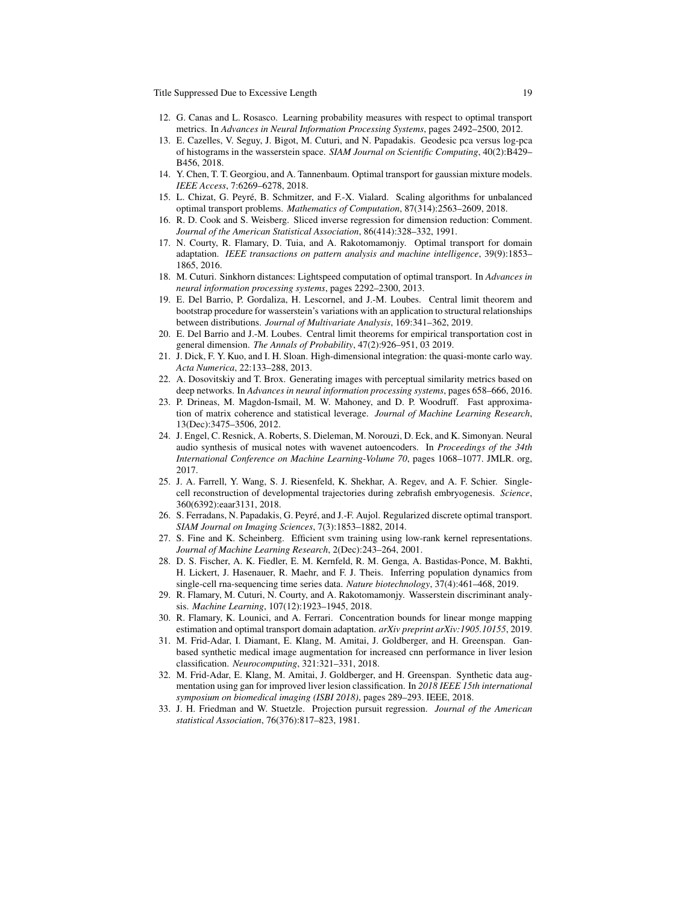- <span id="page-18-3"></span>12. G. Canas and L. Rosasco. Learning probability measures with respect to optimal transport metrics. In *Advances in Neural Information Processing Systems*, pages 2492–2500, 2012.
- <span id="page-18-6"></span>13. E. Cazelles, V. Seguy, J. Bigot, M. Cuturi, and N. Papadakis. Geodesic pca versus log-pca of histograms in the wasserstein space. *SIAM Journal on Scientific Computing*, 40(2):B429– B456, 2018.
- <span id="page-18-2"></span>14. Y. Chen, T. T. Georgiou, and A. Tannenbaum. Optimal transport for gaussian mixture models. *IEEE Access*, 7:6269–6278, 2018.
- <span id="page-18-17"></span>15. L. Chizat, G. Peyre, B. Schmitzer, and F.-X. Vialard. Scaling algorithms for unbalanced ´ optimal transport problems. *Mathematics of Computation*, 87(314):2563–2609, 2018.
- <span id="page-18-14"></span>16. R. D. Cook and S. Weisberg. Sliced inverse regression for dimension reduction: Comment. *Journal of the American Statistical Association*, 86(414):328–332, 1991.
- <span id="page-18-0"></span>17. N. Courty, R. Flamary, D. Tuia, and A. Rakotomamonjy. Optimal transport for domain adaptation. *IEEE transactions on pattern analysis and machine intelligence*, 39(9):1853– 1865, 2016.
- <span id="page-18-8"></span>18. M. Cuturi. Sinkhorn distances: Lightspeed computation of optimal transport. In *Advances in neural information processing systems*, pages 2292–2300, 2013.
- <span id="page-18-5"></span>19. E. Del Barrio, P. Gordaliza, H. Lescornel, and J.-M. Loubes. Central limit theorem and bootstrap procedure for wasserstein's variations with an application to structural relationships between distributions. *Journal of Multivariate Analysis*, 169:341–362, 2019.
- <span id="page-18-9"></span>20. E. Del Barrio and J.-M. Loubes. Central limit theorems for empirical transportation cost in general dimension. *The Annals of Probability*, 47(2):926–951, 03 2019.
- <span id="page-18-12"></span>21. J. Dick, F. Y. Kuo, and I. H. Sloan. High-dimensional integration: the quasi-monte carlo way. *Acta Numerica*, 22:133–288, 2013.
- <span id="page-18-18"></span>22. A. Dosovitskiy and T. Brox. Generating images with perceptual similarity metrics based on deep networks. In *Advances in neural information processing systems*, pages 658–666, 2016.
- <span id="page-18-11"></span>23. P. Drineas, M. Magdon-Ismail, M. W. Mahoney, and D. P. Woodruff. Fast approximation of matrix coherence and statistical leverage. *Journal of Machine Learning Research*, 13(Dec):3475–3506, 2012.
- <span id="page-18-19"></span>24. J. Engel, C. Resnick, A. Roberts, S. Dieleman, M. Norouzi, D. Eck, and K. Simonyan. Neural audio synthesis of musical notes with wavenet autoencoders. In *Proceedings of the 34th International Conference on Machine Learning-Volume 70*, pages 1068–1077. JMLR. org, 2017.
- <span id="page-18-15"></span>25. J. A. Farrell, Y. Wang, S. J. Riesenfeld, K. Shekhar, A. Regev, and A. F. Schier. Singlecell reconstruction of developmental trajectories during zebrafish embryogenesis. *Science*, 360(6392):eaar3131, 2018.
- <span id="page-18-7"></span>26. S. Ferradans, N. Papadakis, G. Peyre, and J.-F. Aujol. Regularized discrete optimal transport. ´ *SIAM Journal on Imaging Sciences*, 7(3):1853–1882, 2014.
- <span id="page-18-10"></span>27. S. Fine and K. Scheinberg. Efficient svm training using low-rank kernel representations. *Journal of Machine Learning Research*, 2(Dec):243–264, 2001.
- <span id="page-18-16"></span>28. D. S. Fischer, A. K. Fiedler, E. M. Kernfeld, R. M. Genga, A. Bastidas-Ponce, M. Bakhti, H. Lickert, J. Hasenauer, R. Maehr, and F. J. Theis. Inferring population dynamics from single-cell rna-sequencing time series data. *Nature biotechnology*, 37(4):461–468, 2019.
- <span id="page-18-4"></span>29. R. Flamary, M. Cuturi, N. Courty, and A. Rakotomamonjy. Wasserstein discriminant analysis. *Machine Learning*, 107(12):1923–1945, 2018.
- <span id="page-18-1"></span>30. R. Flamary, K. Lounici, and A. Ferrari. Concentration bounds for linear monge mapping estimation and optimal transport domain adaptation. *arXiv preprint arXiv:1905.10155*, 2019.
- <span id="page-18-21"></span>31. M. Frid-Adar, I. Diamant, E. Klang, M. Amitai, J. Goldberger, and H. Greenspan. Ganbased synthetic medical image augmentation for increased cnn performance in liver lesion classification. *Neurocomputing*, 321:321–331, 2018.
- <span id="page-18-20"></span>32. M. Frid-Adar, E. Klang, M. Amitai, J. Goldberger, and H. Greenspan. Synthetic data augmentation using gan for improved liver lesion classification. In *2018 IEEE 15th international symposium on biomedical imaging (ISBI 2018)*, pages 289–293. IEEE, 2018.
- <span id="page-18-13"></span>33. J. H. Friedman and W. Stuetzle. Projection pursuit regression. *Journal of the American statistical Association*, 76(376):817–823, 1981.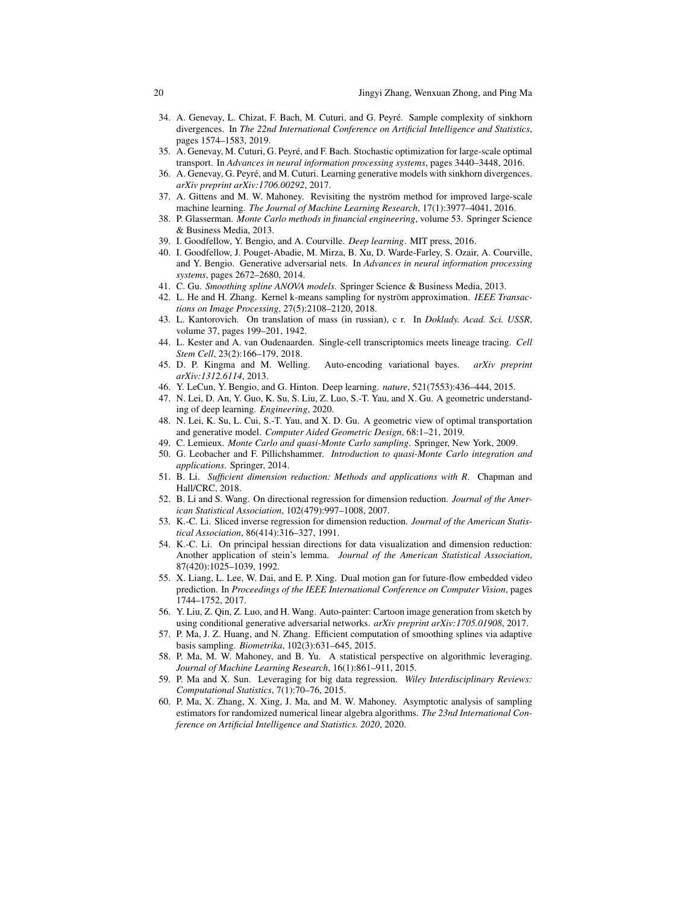- <span id="page-19-5"></span>34. A. Genevay, L. Chizat, F. Bach, M. Cuturi, and G. Peyre. Sample complexity of sinkhorn ´ divergences. In *The 22nd International Conference on Artificial Intelligence and Statistics*, pages 1574–1583, 2019.
- <span id="page-19-6"></span>35. A. Genevay, M. Cuturi, G. Peyre, and F. Bach. Stochastic optimization for large-scale optimal ´ transport. In *Advances in neural information processing systems*, pages 3440–3448, 2016.
- <span id="page-19-1"></span>36. A. Genevay, G. Peyre, and M. Cuturi. Learning generative models with sinkhorn divergences. ´ *arXiv preprint arXiv:1706.00292*, 2017.
- <span id="page-19-10"></span>37. A. Gittens and M. W. Mahoney. Revisiting the nyström method for improved large-scale machine learning. *The Journal of Machine Learning Research*, 17(1):3977–4041, 2016.
- <span id="page-19-14"></span>38. P. Glasserman. *Monte Carlo methods in financial engineering*, volume 53. Springer Science & Business Media, 2013.
- <span id="page-19-21"></span>39. I. Goodfellow, Y. Bengio, and A. Courville. *Deep learning*. MIT press, 2016.
- <span id="page-19-0"></span>40. I. Goodfellow, J. Pouget-Abadie, M. Mirza, B. Xu, D. Warde-Farley, S. Ozair, A. Courville, and Y. Bengio. Generative adversarial nets. In *Advances in neural information processing systems*, pages 2672–2680, 2014.
- <span id="page-19-3"></span>41. C. Gu. *Smoothing spline ANOVA models*. Springer Science & Business Media, 2013.
- <span id="page-19-11"></span>42. L. He and H. Zhang. Kernel k-means sampling for nyström approximation. *IEEE Transactions on Image Processing*, 27(5):2108–2120, 2018.
- <span id="page-19-2"></span>43. L. Kantorovich. On translation of mass (in russian), c r. In *Doklady. Acad. Sci. USSR*, volume 37, pages 199–201, 1942.
- <span id="page-19-19"></span>44. L. Kester and A. van Oudenaarden. Single-cell transcriptomics meets lineage tracing. *Cell Stem Cell*, 23(2):166–179, 2018.
- <span id="page-19-22"></span>45. D. P. Kingma and M. Welling. Auto-encoding variational bayes. *arXiv preprint arXiv:1312.6114*, 2013.
- <span id="page-19-20"></span>46. Y. LeCun, Y. Bengio, and G. Hinton. Deep learning. *nature*, 521(7553):436–444, 2015.
- <span id="page-19-26"></span>47. N. Lei, D. An, Y. Guo, K. Su, S. Liu, Z. Luo, S.-T. Yau, and X. Gu. A geometric understanding of deep learning. *Engineering*, 2020.
- <span id="page-19-25"></span>48. N. Lei, K. Su, L. Cui, S.-T. Yau, and X. D. Gu. A geometric view of optimal transportation and generative model. *Computer Aided Geometric Design*, 68:1–21, 2019.
- <span id="page-19-12"></span>49. C. Lemieux. *Monte Carlo and quasi-Monte Carlo sampling*. Springer, New York, 2009.
- <span id="page-19-13"></span>50. G. Leobacher and F. Pillichshammer. *Introduction to quasi-Monte Carlo integration and applications*. Springer, 2014.
- <span id="page-19-15"></span>51. B. Li. *Sufficient dimension reduction: Methods and applications with R*. Chapman and Hall/CRC, 2018.
- <span id="page-19-18"></span>52. B. Li and S. Wang. On directional regression for dimension reduction. *Journal of the American Statistical Association*, 102(479):997–1008, 2007.
- <span id="page-19-16"></span>53. K.-C. Li. Sliced inverse regression for dimension reduction. *Journal of the American Statistical Association*, 86(414):316–327, 1991.
- <span id="page-19-17"></span>54. K.-C. Li. On principal hessian directions for data visualization and dimension reduction: Another application of stein's lemma. *Journal of the American Statistical Association*, 87(420):1025–1039, 1992.
- <span id="page-19-24"></span>55. X. Liang, L. Lee, W. Dai, and E. P. Xing. Dual motion gan for future-flow embedded video prediction. In *Proceedings of the IEEE International Conference on Computer Vision*, pages 1744–1752, 2017.
- <span id="page-19-23"></span>56. Y. Liu, Z. Qin, Z. Luo, and H. Wang. Auto-painter: Cartoon image generation from sketch by using conditional generative adversarial networks. *arXiv preprint arXiv:1705.01908*, 2017.
- <span id="page-19-4"></span>57. P. Ma, J. Z. Huang, and N. Zhang. Efficient computation of smoothing splines via adaptive basis sampling. *Biometrika*, 102(3):631–645, 2015.
- <span id="page-19-9"></span>58. P. Ma, M. W. Mahoney, and B. Yu. A statistical perspective on algorithmic leveraging. *Journal of Machine Learning Research*, 16(1):861–911, 2015.
- <span id="page-19-7"></span>59. P. Ma and X. Sun. Leveraging for big data regression. *Wiley Interdisciplinary Reviews: Computational Statistics*, 7(1):70–76, 2015.
- <span id="page-19-8"></span>60. P. Ma, X. Zhang, X. Xing, J. Ma, and M. W. Mahoney. Asymptotic analysis of sampling estimators for randomized numerical linear algebra algorithms. *The 23nd International Conference on Artificial Intelligence and Statistics. 2020*, 2020.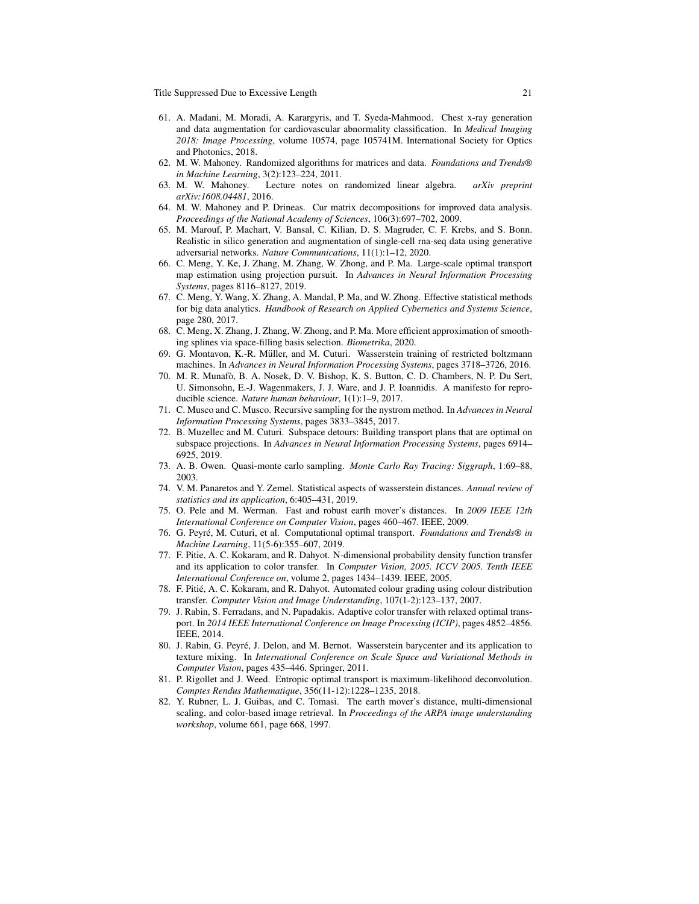- <span id="page-20-21"></span>61. A. Madani, M. Moradi, A. Karargyris, and T. Syeda-Mahmood. Chest x-ray generation and data augmentation for cardiovascular abnormality classification. In *Medical Imaging 2018: Image Processing*, volume 10574, page 105741M. International Society for Optics and Photonics, 2018.
- <span id="page-20-15"></span>62. M. W. Mahoney. Randomized algorithms for matrices and data. *Foundations and Trends® in Machine Learning*, 3(2):123–224, 2011.
- <span id="page-20-16"></span>63. M. W. Mahoney. Lecture notes on randomized linear algebra. *arXiv preprint arXiv:1608.04481*, 2016.
- <span id="page-20-13"></span>64. M. W. Mahoney and P. Drineas. Cur matrix decompositions for improved data analysis. *Proceedings of the National Academy of Sciences*, 106(3):697–702, 2009.
- <span id="page-20-19"></span>65. M. Marouf, P. Machart, V. Bansal, C. Kilian, D. S. Magruder, C. F. Krebs, and S. Bonn. Realistic in silico generation and augmentation of single-cell rna-seq data using generative adversarial networks. *Nature Communications*, 11(1):1–12, 2020.
- <span id="page-20-1"></span>66. C. Meng, Y. Ke, J. Zhang, M. Zhang, W. Zhong, and P. Ma. Large-scale optimal transport map estimation using projection pursuit. In *Advances in Neural Information Processing Systems*, pages 8116–8127, 2019.
- <span id="page-20-14"></span>67. C. Meng, Y. Wang, X. Zhang, A. Mandal, P. Ma, and W. Zhong. Effective statistical methods for big data analytics. *Handbook of Research on Applied Cybernetics and Systems Science*, page 280, 2017.
- <span id="page-20-12"></span>68. C. Meng, X. Zhang, J. Zhang, W. Zhong, and P. Ma. More efficient approximation of smoothing splines via space-filling basis selection. *Biometrika*, 2020.
- <span id="page-20-7"></span>69. G. Montavon, K.-R. Müller, and M. Cuturi. Wasserstein training of restricted boltzmann machines. In *Advances in Neural Information Processing Systems*, pages 3718–3726, 2016.
- <span id="page-20-20"></span>70. M. R. Munafo, B. A. Nosek, D. V. Bishop, K. S. Button, C. D. Chambers, N. P. Du Sert, ` U. Simonsohn, E.-J. Wagenmakers, J. J. Ware, and J. P. Ioannidis. A manifesto for reproducible science. *Nature human behaviour*, 1(1):1–9, 2017.
- <span id="page-20-17"></span>71. C. Musco and C. Musco. Recursive sampling for the nystrom method. In *Advances in Neural Information Processing Systems*, pages 3833–3845, 2017.
- <span id="page-20-0"></span>72. B. Muzellec and M. Cuturi. Subspace detours: Building transport plans that are optimal on subspace projections. In *Advances in Neural Information Processing Systems*, pages 6914– 6925, 2019.
- <span id="page-20-18"></span>73. A. B. Owen. Quasi-monte carlo sampling. *Monte Carlo Ray Tracing: Siggraph*, 1:69–88, 2003.
- <span id="page-20-3"></span>74. V. M. Panaretos and Y. Zemel. Statistical aspects of wasserstein distances. *Annual review of statistics and its application*, 6:405–431, 2019.
- <span id="page-20-6"></span>75. O. Pele and M. Werman. Fast and robust earth mover's distances. In *2009 IEEE 12th International Conference on Computer Vision*, pages 460–467. IEEE, 2009.
- <span id="page-20-2"></span>76. G. Peyre, M. Cuturi, et al. Computational optimal transport. ´ *Foundations and Trends® in Machine Learning*, 11(5-6):355–607, 2019.
- <span id="page-20-9"></span>77. F. Pitie, A. C. Kokaram, and R. Dahyot. N-dimensional probability density function transfer and its application to color transfer. In *Computer Vision, 2005. ICCV 2005. Tenth IEEE International Conference on*, volume 2, pages 1434–1439. IEEE, 2005.
- <span id="page-20-10"></span>78. F. Pitie, A. C. Kokaram, and R. Dahyot. Automated colour grading using colour distribution ´ transfer. *Computer Vision and Image Understanding*, 107(1-2):123–137, 2007.
- <span id="page-20-4"></span>79. J. Rabin, S. Ferradans, and N. Papadakis. Adaptive color transfer with relaxed optimal transport. In *2014 IEEE International Conference on Image Processing (ICIP)*, pages 4852–4856. IEEE, 2014.
- <span id="page-20-11"></span>80. J. Rabin, G. Peyre, J. Delon, and M. Bernot. Wasserstein barycenter and its application to ´ texture mixing. In *International Conference on Scale Space and Variational Methods in Computer Vision*, pages 435–446. Springer, 2011.
- <span id="page-20-8"></span>81. P. Rigollet and J. Weed. Entropic optimal transport is maximum-likelihood deconvolution. *Comptes Rendus Mathematique*, 356(11-12):1228–1235, 2018.
- <span id="page-20-5"></span>82. Y. Rubner, L. J. Guibas, and C. Tomasi. The earth mover's distance, multi-dimensional scaling, and color-based image retrieval. In *Proceedings of the ARPA image understanding workshop*, volume 661, page 668, 1997.